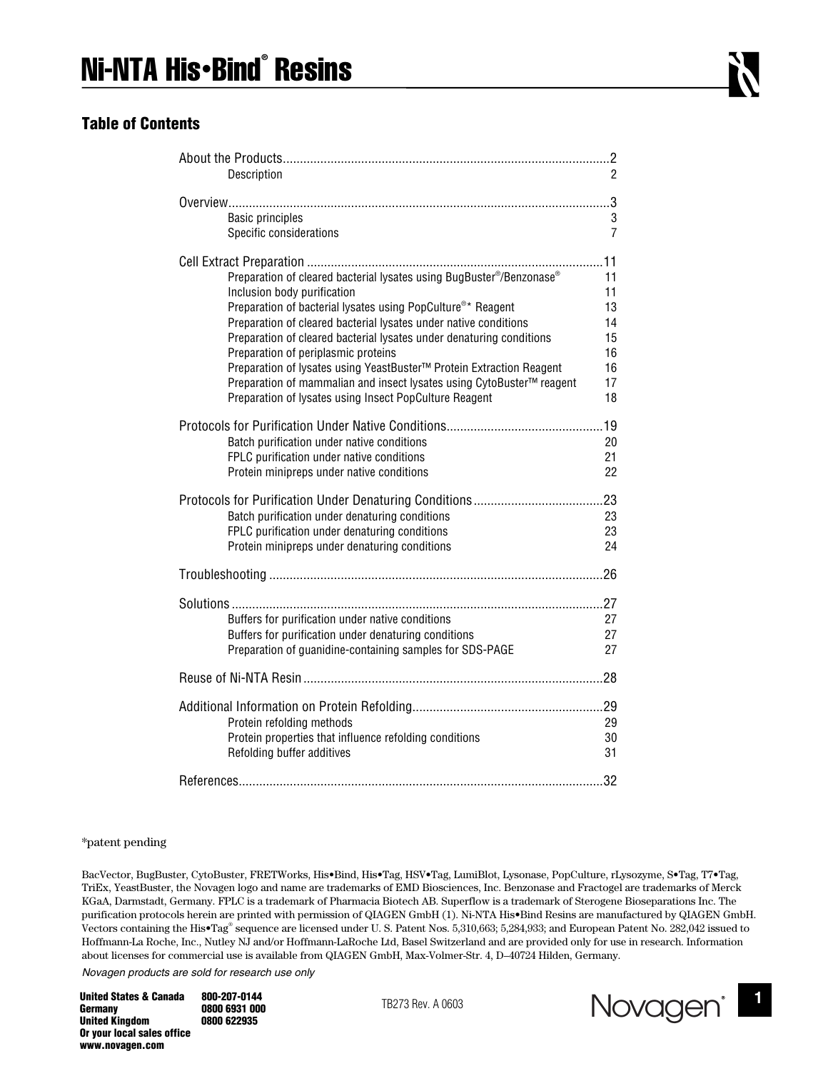## **Table of Contents**

| Description                                                                                                                                                                                                                                                                                                                                                                                                                                                                                                                                                                  | 2                                                  |
|------------------------------------------------------------------------------------------------------------------------------------------------------------------------------------------------------------------------------------------------------------------------------------------------------------------------------------------------------------------------------------------------------------------------------------------------------------------------------------------------------------------------------------------------------------------------------|----------------------------------------------------|
| <b>Basic principles</b><br>Specific considerations                                                                                                                                                                                                                                                                                                                                                                                                                                                                                                                           | 3<br>7                                             |
| Preparation of cleared bacterial lysates using BugBuster®/Benzonase®<br>Inclusion body purification<br>Preparation of bacterial lysates using PopCulture <sup>®*</sup> Reagent<br>Preparation of cleared bacterial lysates under native conditions<br>Preparation of cleared bacterial lysates under denaturing conditions<br>Preparation of periplasmic proteins<br>Preparation of lysates using YeastBuster™ Protein Extraction Reagent<br>Preparation of mammalian and insect lysates using CytoBuster™ reagent<br>Preparation of lysates using Insect PopCulture Reagent | 11<br>11<br>13<br>14<br>15<br>16<br>16<br>17<br>18 |
| Batch purification under native conditions<br>FPLC purification under native conditions<br>Protein minipreps under native conditions                                                                                                                                                                                                                                                                                                                                                                                                                                         | 20<br>21<br>22                                     |
| Batch purification under denaturing conditions<br>FPLC purification under denaturing conditions<br>Protein minipreps under denaturing conditions                                                                                                                                                                                                                                                                                                                                                                                                                             | 23<br>23<br>24                                     |
|                                                                                                                                                                                                                                                                                                                                                                                                                                                                                                                                                                              |                                                    |
| Buffers for purification under native conditions<br>Buffers for purification under denaturing conditions<br>Preparation of guanidine-containing samples for SDS-PAGE                                                                                                                                                                                                                                                                                                                                                                                                         | 27<br>27<br>27                                     |
|                                                                                                                                                                                                                                                                                                                                                                                                                                                                                                                                                                              |                                                    |
| Protein refolding methods<br>Protein properties that influence refolding conditions<br>Refolding buffer additives                                                                                                                                                                                                                                                                                                                                                                                                                                                            | 29<br>30<br>31<br>.32                              |
|                                                                                                                                                                                                                                                                                                                                                                                                                                                                                                                                                                              |                                                    |

#### \*patent pending

BacVector, BugBuster, CytoBuster, FRETWorks, His•Bind, His•Tag, HSV•Tag, LumiBlot, Lysonase, PopCulture, rLysozyme, S•Tag, T7•Tag, TriEx, YeastBuster, the Novagen logo and name are trademarks of EMD Biosciences, Inc. Benzonase and Fractogel are trademarks of Merck KGaA, Darmstadt, Germany. FPLC is a trademark of Pharmacia Biotech AB. Superflow is a trademark of Sterogene Bioseparations Inc. The purification protocols herein are printed with permission of QIAGEN GmbH (1). Ni-NTA His•Bind Resins are manufactured by QIAGEN GmbH. Vectors containing the His•Tag® sequence are licensed under U. S. Patent Nos. 5,310,663; 5,284,933; and European Patent No. 282,042 issued to Hoffmann-La Roche, Inc., Nutley NJ and/or Hoffmann-LaRoche Ltd, Basel Switzerland and are provided only for use in research. Information about licenses for commercial use is available from QIAGEN GmbH, Max-Volmer-Str. 4, D–40724 Hilden, Germany.

*Novagen products are sold for research use only*

**Germany 0800 6931 000**<br> **United Kingdom 0800 622935 United Kingdom Or your local sales office www.novagen.com** 

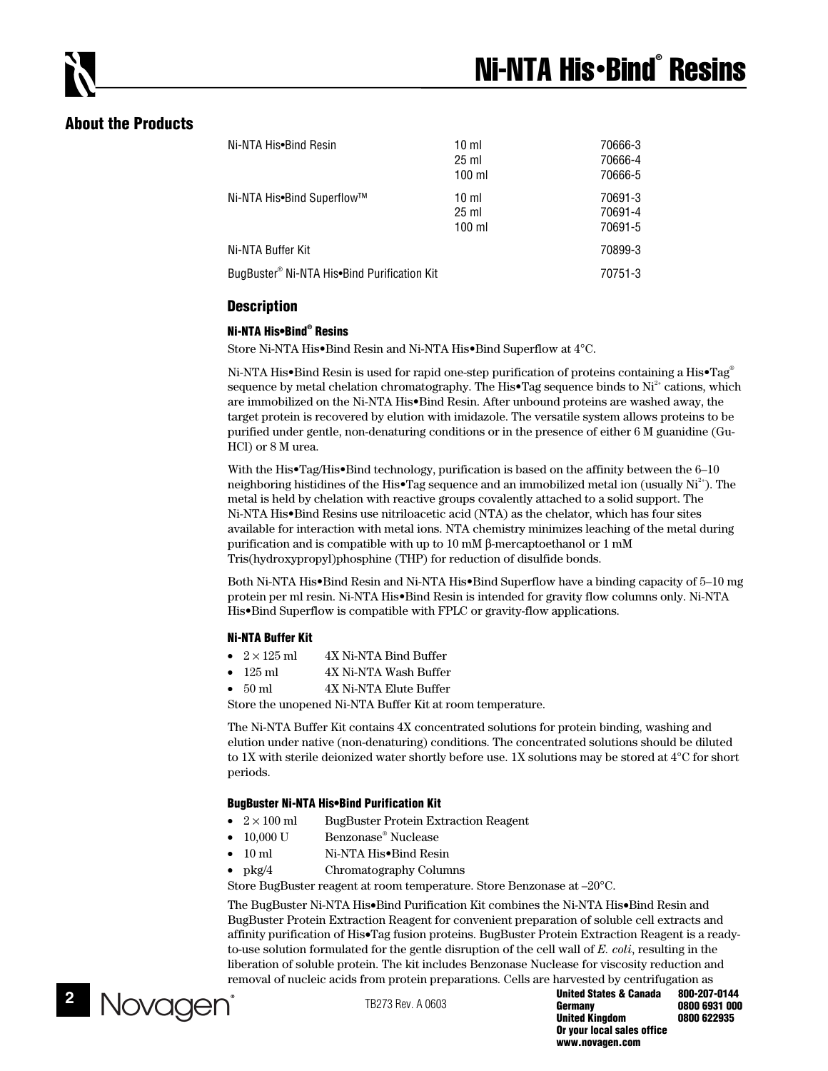# **About the Products**

| Ni-NTA His•Bind Resin                       | 10 <sub>m</sub><br>$25 \text{ ml}$<br>$100$ ml | 70666-3<br>70666-4<br>70666-5 |
|---------------------------------------------|------------------------------------------------|-------------------------------|
| Ni-NTA His•Bind Superflow™                  | $10 \mathrm{m}$<br>$25 \text{ ml}$<br>$100$ ml | 70691-3<br>70691-4<br>70691-5 |
| Ni-NTA Buffer Kit                           |                                                | 70899-3                       |
| BugBuster® Ni-NTA His•Bind Purification Kit |                                                | 70751-3                       |

## **Description**

#### **Ni-NTA His•Bind® Resins**

Store Ni-NTA His•Bind Resin and Ni-NTA His•Bind Superflow at 4°C.

Ni-NTA His•Bind Resin is used for rapid one-step purification of proteins containing a His•Tag<sup>®</sup> sequence by metal chelation chromatography. The His•Tag sequence binds to  $Ni<sup>2+</sup>$  cations, which are immobilized on the Ni-NTA His•Bind Resin. After unbound proteins are washed away, the target protein is recovered by elution with imidazole. The versatile system allows proteins to be purified under gentle, non-denaturing conditions or in the presence of either 6 M guanidine (Gu-HCl) or 8 M urea.

With the His•Tag/His•Bind technology, purification is based on the affinity between the 6–10 neighboring histidines of the His•Tag sequence and an immobilized metal ion (usually  $Ni<sup>2+</sup>$ ). The metal is held by chelation with reactive groups covalently attached to a solid support. The Ni-NTA His•Bind Resins use nitriloacetic acid (NTA) as the chelator, which has four sites available for interaction with metal ions. NTA chemistry minimizes leaching of the metal during purification and is compatible with up to 10 mM β-mercaptoethanol or 1 mM Tris(hydroxypropyl)phosphine (THP) for reduction of disulfide bonds.

Both Ni-NTA His•Bind Resin and Ni-NTA His•Bind Superflow have a binding capacity of 5–10 mg protein per ml resin. Ni-NTA His•Bind Resin is intended for gravity flow columns only. Ni-NTA His•Bind Superflow is compatible with FPLC or gravity-flow applications.

#### **Ni-NTA Buffer Kit**

- $2 \times 125$  ml 4X Ni-NTA Bind Buffer
- 125 ml 4X Ni-NTA Wash Buffer
- 50 ml 4X Ni-NTA Elute Buffer

Store the unopened Ni-NTA Buffer Kit at room temperature.

The Ni-NTA Buffer Kit contains 4X concentrated solutions for protein binding, washing and elution under native (non-denaturing) conditions. The concentrated solutions should be diluted to 1X with sterile deionized water shortly before use. 1X solutions may be stored at 4°C for short periods.

## **BugBuster Ni-NTA His•Bind Purification Kit**

- $2 \times 100$  ml BugBuster Protein Extraction Reagent
- $10,000$  U Benzonase<sup>®</sup> Nuclease
- 10 ml Ni-NTA His•Bind Resin
- pkg/4 Chromatography Columns

Store BugBuster reagent at room temperature. Store Benzonase at –20°C.

The BugBuster Ni-NTA His•Bind Purification Kit combines the Ni-NTA His•Bind Resin and BugBuster Protein Extraction Reagent for convenient preparation of soluble cell extracts and affinity purification of His•Tag fusion proteins. BugBuster Protein Extraction Reagent is a readyto-use solution formulated for the gentle disruption of the cell wall of *E. coli*, resulting in the liberation of soluble protein. The kit includes Benzonase Nuclease for viscosity reduction and removal of nucleic acids from protein preparations. Cells are harvested by centrifugation as



**United States & Canada 800-207-0144 Germany 0800 6931 000 United Kingdom Or your local sales office www.novagen.com**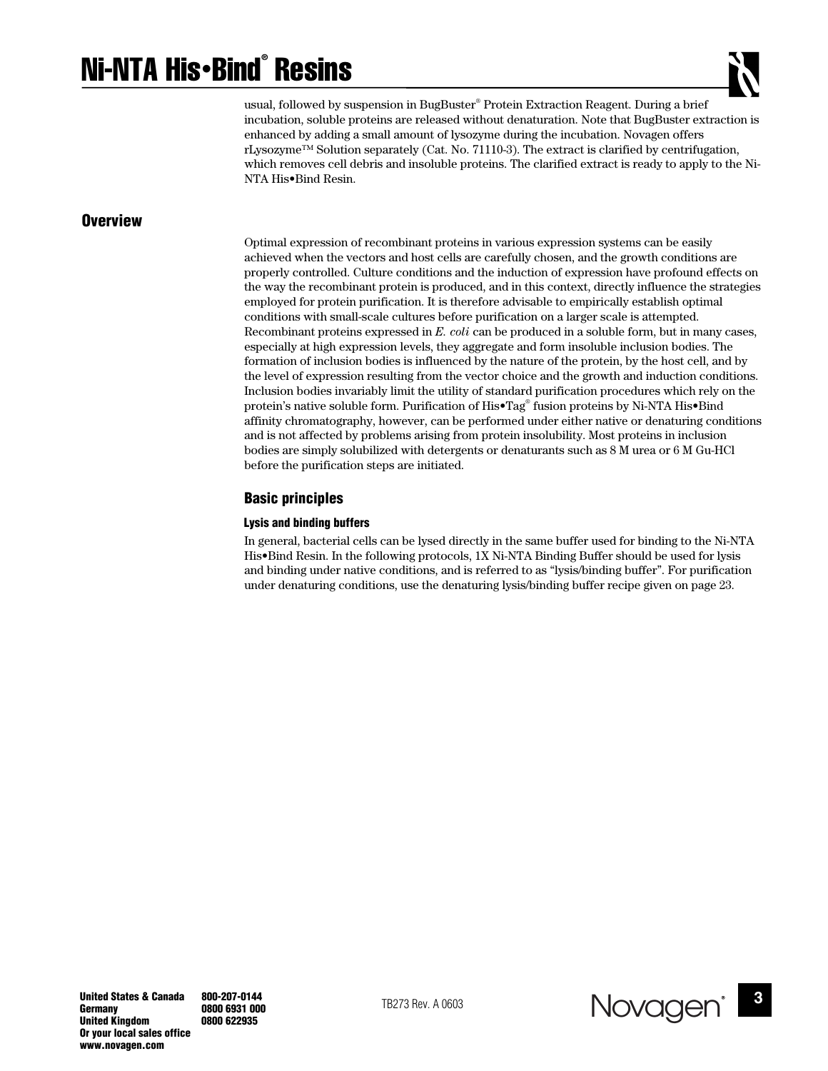# Ni-NTA His•Bind® Resins



usual, followed by suspension in BugBuster® Protein Extraction Reagent. During a brief incubation, soluble proteins are released without denaturation. Note that BugBuster extraction is enhanced by adding a small amount of lysozyme during the incubation. Novagen offers rLysozyme™ Solution separately (Cat. No. 71110-3). The extract is clarified by centrifugation, which removes cell debris and insoluble proteins. The clarified extract is ready to apply to the Ni-NTA His•Bind Resin.

## **Overview**

Optimal expression of recombinant proteins in various expression systems can be easily achieved when the vectors and host cells are carefully chosen, and the growth conditions are properly controlled. Culture conditions and the induction of expression have profound effects on the way the recombinant protein is produced, and in this context, directly influence the strategies employed for protein purification. It is therefore advisable to empirically establish optimal conditions with small-scale cultures before purification on a larger scale is attempted. Recombinant proteins expressed in *E. coli* can be produced in a soluble form, but in many cases, especially at high expression levels, they aggregate and form insoluble inclusion bodies. The formation of inclusion bodies is influenced by the nature of the protein, by the host cell, and by the level of expression resulting from the vector choice and the growth and induction conditions. Inclusion bodies invariably limit the utility of standard purification procedures which rely on the protein's native soluble form. Purification of His•Tag® fusion proteins by Ni-NTA His•Bind affinity chromatography, however, can be performed under either native or denaturing conditions and is not affected by problems arising from protein insolubility. Most proteins in inclusion bodies are simply solubilized with detergents or denaturants such as 8 M urea or 6 M Gu-HCl before the purification steps are initiated.

## **Basic principles**

#### **Lysis and binding buffers**

In general, bacterial cells can be lysed directly in the same buffer used for binding to the Ni-NTA His•Bind Resin. In the following protocols, 1X Ni-NTA Binding Buffer should be used for lysis and binding under native conditions, and is referred to as "lysis/binding buffer". For purification under denaturing conditions, use the denaturing lysis/binding buffer recipe given on page 23.

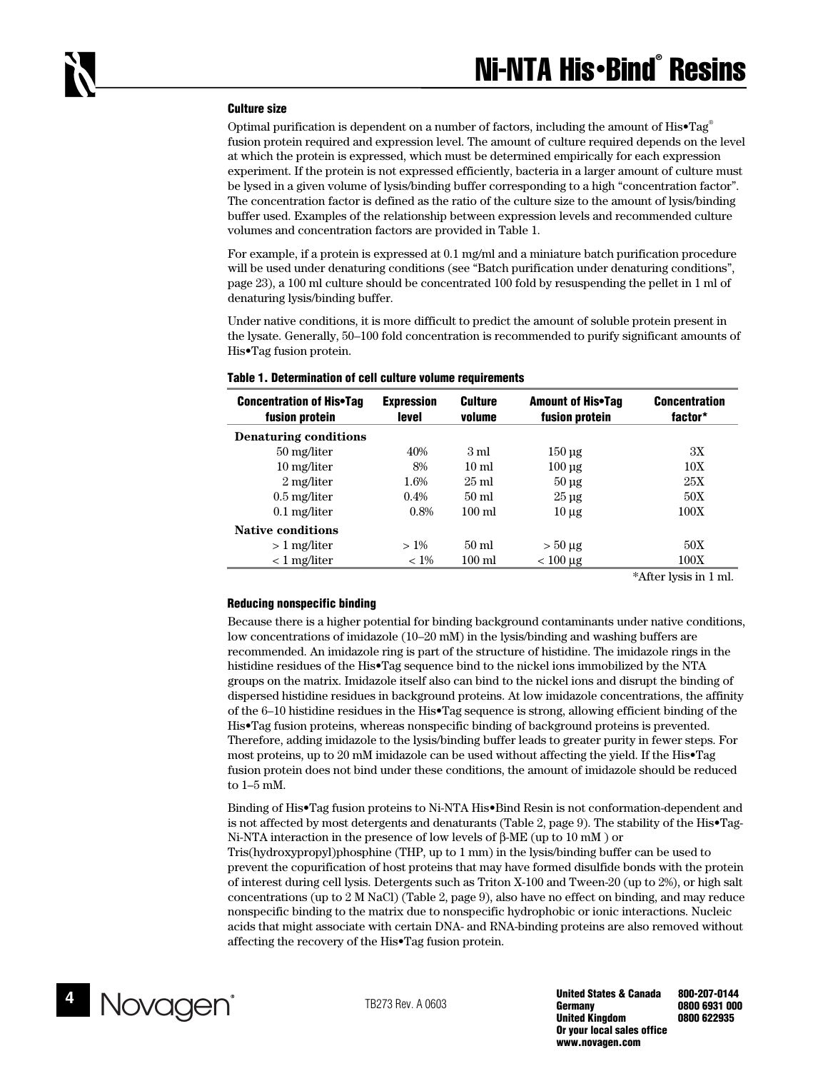#### **Culture size**

Optimal purification is dependent on a number of factors, including the amount of  $His \cdot Tag^{\circ}$ fusion protein required and expression level. The amount of culture required depends on the level at which the protein is expressed, which must be determined empirically for each expression experiment. If the protein is not expressed efficiently, bacteria in a larger amount of culture must be lysed in a given volume of lysis/binding buffer corresponding to a high "concentration factor". The concentration factor is defined as the ratio of the culture size to the amount of lysis/binding buffer used. Examples of the relationship between expression levels and recommended culture volumes and concentration factors are provided in Table 1.

For example, if a protein is expressed at 0.1 mg/ml and a miniature batch purification procedure will be used under denaturing conditions (see "Batch purification under denaturing conditions", page 23), a 100 ml culture should be concentrated 100 fold by resuspending the pellet in 1 ml of denaturing lysis/binding buffer.

Under native conditions, it is more difficult to predict the amount of soluble protein present in the lysate. Generally, 50–100 fold concentration is recommended to purify significant amounts of His•Tag fusion protein.

| <b>Concentration of His•Tag</b><br>fusion protein | <b>Expression</b><br>level | <b>Culture</b><br>volume | <b>Amount of His•Tag</b><br>fusion protein | <b>Concentration</b><br>factor* |
|---------------------------------------------------|----------------------------|--------------------------|--------------------------------------------|---------------------------------|
| <b>Denaturing conditions</b>                      |                            |                          |                                            |                                 |
| 50 mg/liter                                       | 40%                        | 3 ml                     | $150 \,\mathrm{µg}$                        | 3X                              |
| 10 mg/liter                                       | 8%                         | $10 \text{ ml}$          | $100 \mu$ g                                | 10X                             |
| 2 mg/liter                                        | 1.6%                       | $25 \text{ ml}$          | $50 \mu$ g                                 | 25X                             |
| $0.5$ mg/liter                                    | $0.4\%$                    | $50 \text{ ml}$          | $25 \mu$ g                                 | 50X                             |
| $0.1$ mg/liter                                    | 0.8%                       | $100 \text{ ml}$         | $10 \mu$ g                                 | 100X                            |
| <b>Native conditions</b>                          |                            |                          |                                            |                                 |
| $>1$ mg/liter                                     | $>1\%$                     | $50 \text{ ml}$          | $> 50 \mu g$                               | 50X                             |
| $< 1$ mg/liter                                    | $< 1\%$                    | $100 \text{ ml}$         | $< 100 \mu g$                              | 100X                            |

#### **Table 1. Determination of cell culture volume requirements**

\*After lysis in 1 ml.

#### **Reducing nonspecific binding**

Because there is a higher potential for binding background contaminants under native conditions, low concentrations of imidazole (10–20 mM) in the lysis/binding and washing buffers are recommended. An imidazole ring is part of the structure of histidine. The imidazole rings in the histidine residues of the His•Tag sequence bind to the nickel ions immobilized by the NTA groups on the matrix. Imidazole itself also can bind to the nickel ions and disrupt the binding of dispersed histidine residues in background proteins. At low imidazole concentrations, the affinity of the 6–10 histidine residues in the His•Tag sequence is strong, allowing efficient binding of the His•Tag fusion proteins, whereas nonspecific binding of background proteins is prevented. Therefore, adding imidazole to the lysis/binding buffer leads to greater purity in fewer steps. For most proteins, up to 20 mM imidazole can be used without affecting the yield. If the His•Tag fusion protein does not bind under these conditions, the amount of imidazole should be reduced to 1–5 mM.

Binding of His•Tag fusion proteins to Ni-NTA His•Bind Resin is not conformation-dependent and is not affected by most detergents and denaturants (Table 2, page 9). The stability of the His•Tag-Ni-NTA interaction in the presence of low levels of β-ME (up to 10 mM ) or

Tris(hydroxypropyl)phosphine (THP, up to 1 mm) in the lysis/binding buffer can be used to prevent the copurification of host proteins that may have formed disulfide bonds with the protein of interest during cell lysis. Detergents such as Triton X-100 and Tween-20 (up to 2%), or high salt concentrations (up to 2 M NaCl) (Table 2, page 9), also have no effect on binding, and may reduce nonspecific binding to the matrix due to nonspecific hydrophobic or ionic interactions. Nucleic acids that might associate with certain DNA- and RNA-binding proteins are also removed without affecting the recovery of the His•Tag fusion protein.

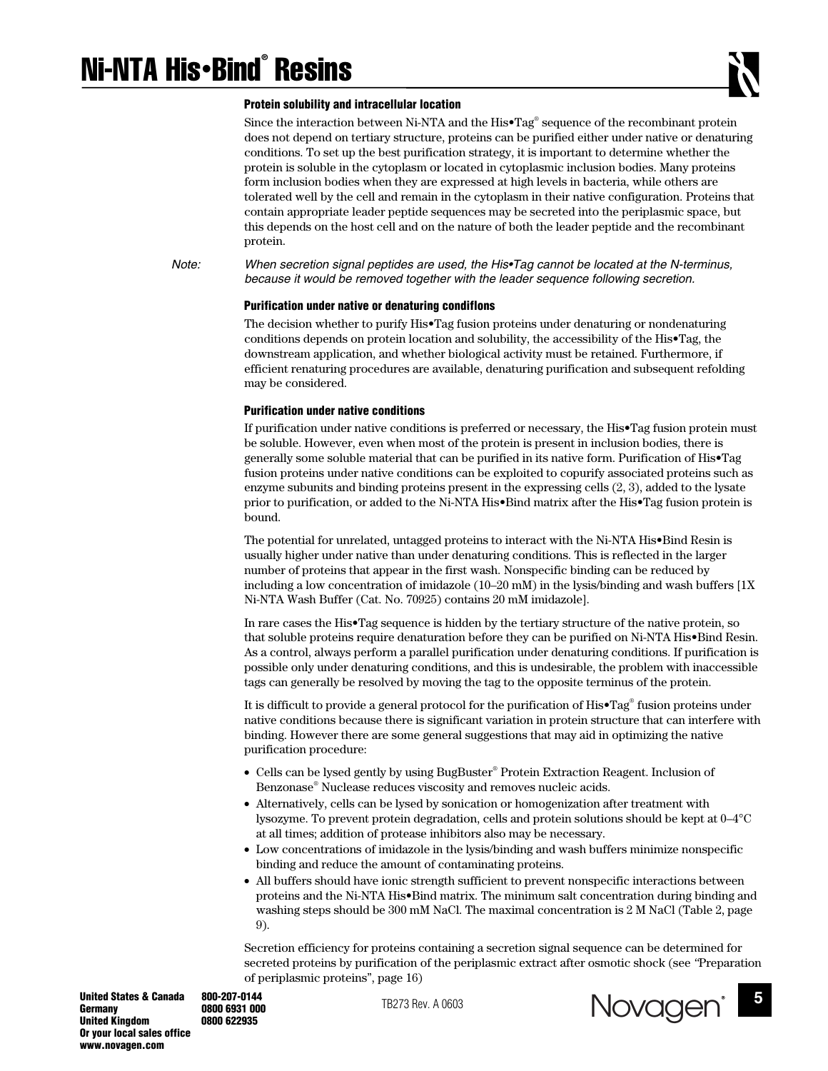#### **Protein solubility and intracellular location**

Since the interaction between Ni-NTA and the His•Tag® sequence of the recombinant protein does not depend on tertiary structure, proteins can be purified either under native or denaturing conditions. To set up the best purification strategy, it is important to determine whether the protein is soluble in the cytoplasm or located in cytoplasmic inclusion bodies. Many proteins form inclusion bodies when they are expressed at high levels in bacteria, while others are tolerated well by the cell and remain in the cytoplasm in their native configuration. Proteins that contain appropriate leader peptide sequences may be secreted into the periplasmic space, but this depends on the host cell and on the nature of both the leader peptide and the recombinant protein.

*Note: When secretion signal peptides are used, the His•Tag cannot be located at the N-terminus, because it would be removed together with the leader sequence following secretion.* 

#### **Purification under native or denaturing condiflons**

The decision whether to purify His•Tag fusion proteins under denaturing or nondenaturing conditions depends on protein location and solubility, the accessibility of the His•Tag, the downstream application, and whether biological activity must be retained. Furthermore, if efficient renaturing procedures are available, denaturing purification and subsequent refolding may be considered.

#### **Purification under native conditions**

If purification under native conditions is preferred or necessary, the His•Tag fusion protein must be soluble. However, even when most of the protein is present in inclusion bodies, there is generally some soluble material that can be purified in its native form. Purification of His•Tag fusion proteins under native conditions can be exploited to copurify associated proteins such as enzyme subunits and binding proteins present in the expressing cells (2, 3), added to the lysate prior to purification, or added to the Ni-NTA His•Bind matrix after the His•Tag fusion protein is bound.

The potential for unrelated, untagged proteins to interact with the Ni-NTA His•Bind Resin is usually higher under native than under denaturing conditions. This is reflected in the larger number of proteins that appear in the first wash. Nonspecific binding can be reduced by including a low concentration of imidazole (10–20 mM) in the lysis/binding and wash buffers [1X Ni-NTA Wash Buffer (Cat. No. 70925) contains 20 mM imidazole].

In rare cases the His•Tag sequence is hidden by the tertiary structure of the native protein, so that soluble proteins require denaturation before they can be purified on Ni-NTA His•Bind Resin. As a control, always perform a parallel purification under denaturing conditions. If purification is possible only under denaturing conditions, and this is undesirable, the problem with inaccessible tags can generally be resolved by moving the tag to the opposite terminus of the protein.

It is difficult to provide a general protocol for the purification of His•Tag® fusion proteins under native conditions because there is significant variation in protein structure that can interfere with binding. However there are some general suggestions that may aid in optimizing the native purification procedure:

- Cells can be lysed gently by using BugBuster® Protein Extraction Reagent. Inclusion of Benzonase® Nuclease reduces viscosity and removes nucleic acids.
- Alternatively, cells can be lysed by sonication or homogenization after treatment with lysozyme. To prevent protein degradation, cells and protein solutions should be kept at 0–4°C at all times; addition of protease inhibitors also may be necessary.
- Low concentrations of imidazole in the lysis/binding and wash buffers minimize nonspecific binding and reduce the amount of contaminating proteins.
- All buffers should have ionic strength sufficient to prevent nonspecific interactions between proteins and the Ni-NTA His•Bind matrix. The minimum salt concentration during binding and washing steps should be 300 mM NaCl. The maximal concentration is 2 M NaCl (Table 2, page 9).

Secretion efficiency for proteins containing a secretion signal sequence can be determined for secreted proteins by purification of the periplasmic extract after osmotic shock (see *"*Preparation of periplasmic proteins", page 16)

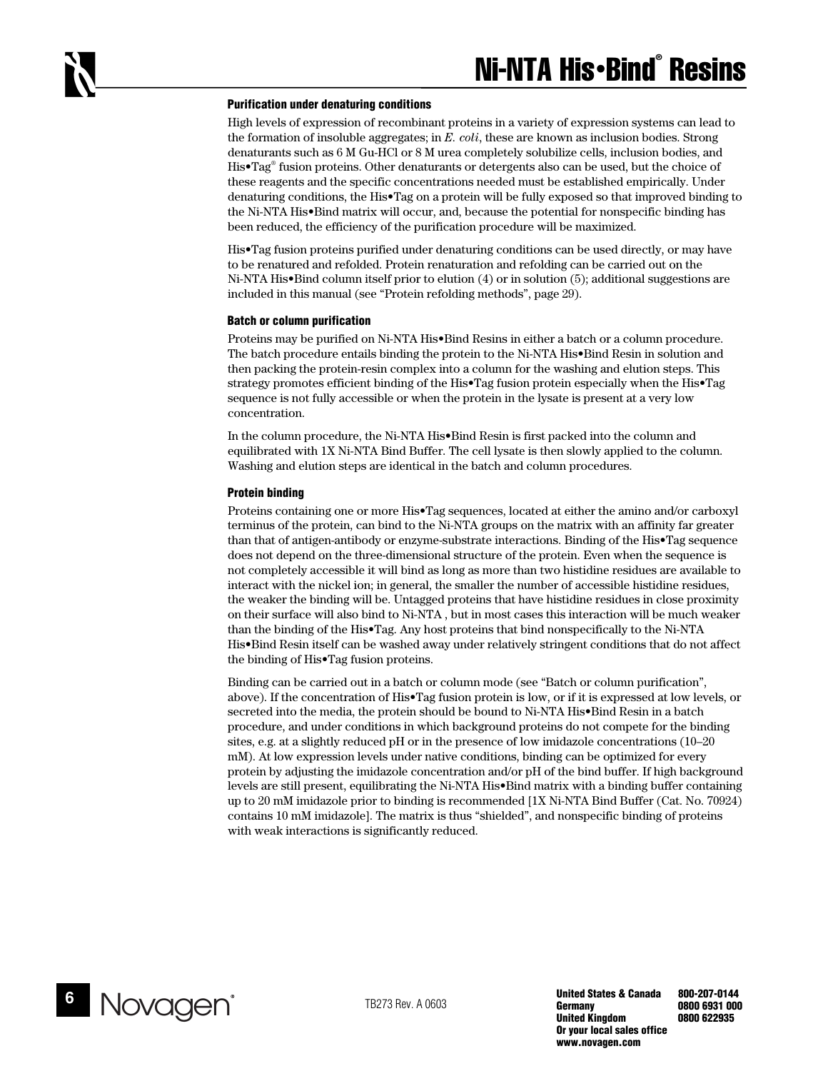#### **Purification under denaturing conditions**

High levels of expression of recombinant proteins in a variety of expression systems can lead to the formation of insoluble aggregates; in *E. coli*, these are known as inclusion bodies. Strong denaturants such as 6 M Gu-HCl or 8 M urea completely solubilize cells, inclusion bodies, and His•Tag® fusion proteins. Other denaturants or detergents also can be used, but the choice of these reagents and the specific concentrations needed must be established empirically. Under denaturing conditions, the His•Tag on a protein will be fully exposed so that improved binding to the Ni-NTA His•Bind matrix will occur, and, because the potential for nonspecific binding has been reduced, the efficiency of the purification procedure will be maximized.

His•Tag fusion proteins purified under denaturing conditions can be used directly, or may have to be renatured and refolded. Protein renaturation and refolding can be carried out on the Ni-NTA His•Bind column itself prior to elution (4) or in solution (5); additional suggestions are included in this manual (see "Protein refolding methods", page 29).

#### **Batch or column purification**

Proteins may be purified on Ni-NTA His•Bind Resins in either a batch or a column procedure. The batch procedure entails binding the protein to the Ni-NTA His•Bind Resin in solution and then packing the protein-resin complex into a column for the washing and elution steps. This strategy promotes efficient binding of the His•Tag fusion protein especially when the His•Tag sequence is not fully accessible or when the protein in the lysate is present at a very low concentration.

In the column procedure, the Ni-NTA His•Bind Resin is first packed into the column and equilibrated with 1X Ni-NTA Bind Buffer. The cell lysate is then slowly applied to the column. Washing and elution steps are identical in the batch and column procedures.

#### **Protein binding**

Proteins containing one or more His•Tag sequences, located at either the amino and/or carboxyl terminus of the protein, can bind to the Ni-NTA groups on the matrix with an affinity far greater than that of antigen-antibody or enzyme-substrate interactions. Binding of the His•Tag sequence does not depend on the three-dimensional structure of the protein. Even when the sequence is not completely accessible it will bind as long as more than two histidine residues are available to interact with the nickel ion; in general, the smaller the number of accessible histidine residues, the weaker the binding will be. Untagged proteins that have histidine residues in close proximity on their surface will also bind to Ni-NTA , but in most cases this interaction will be much weaker than the binding of the His•Tag. Any host proteins that bind nonspecifically to the Ni-NTA His•Bind Resin itself can be washed away under relatively stringent conditions that do not affect the binding of His•Tag fusion proteins.

Binding can be carried out in a batch or column mode (see "Batch or column purification", above). If the concentration of His•Tag fusion protein is low, or if it is expressed at low levels, or secreted into the media, the protein should be bound to Ni-NTA His•Bind Resin in a batch procedure, and under conditions in which background proteins do not compete for the binding sites, e.g. at a slightly reduced pH or in the presence of low imidazole concentrations (10–20 mM). At low expression levels under native conditions, binding can be optimized for every protein by adjusting the imidazole concentration and/or pH of the bind buffer. If high background levels are still present, equilibrating the Ni-NTA His•Bind matrix with a binding buffer containing up to 20 mM imidazole prior to binding is recommended [1X Ni-NTA Bind Buffer (Cat. No. 70924) contains 10 mM imidazole]. The matrix is thus "shielded", and nonspecific binding of proteins with weak interactions is significantly reduced.

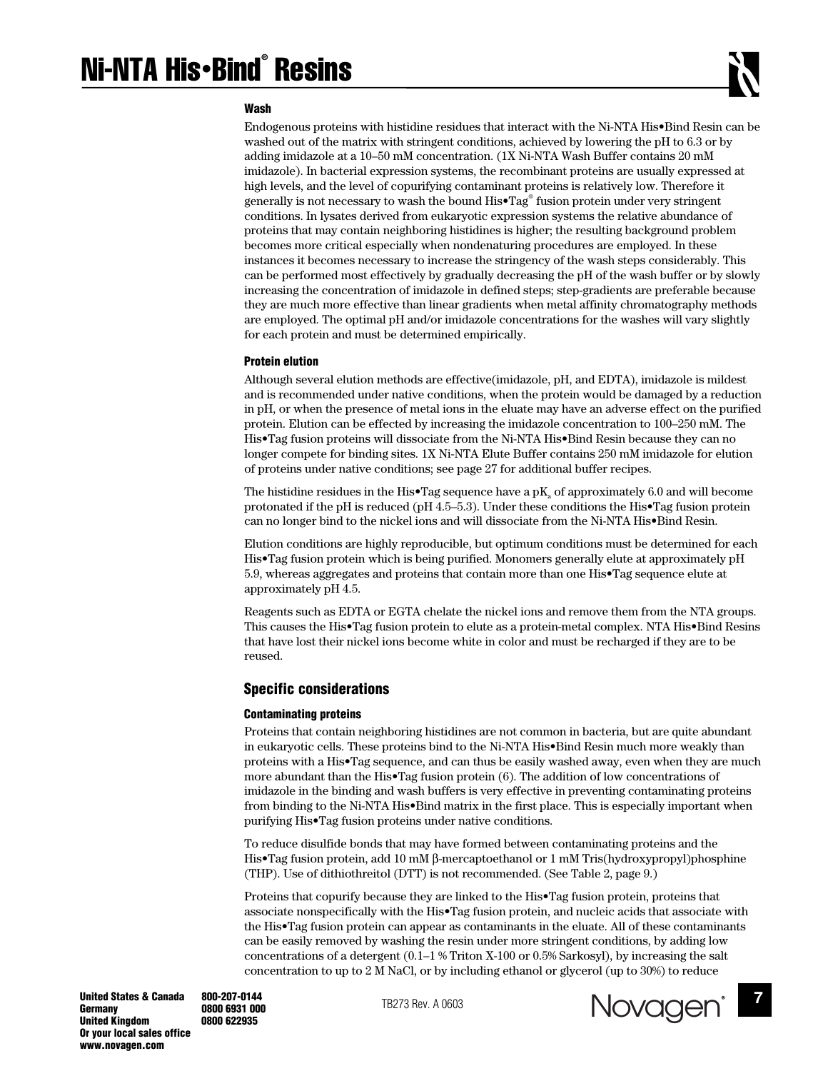#### **Wash**

Endogenous proteins with histidine residues that interact with the Ni-NTA His•Bind Resin can be washed out of the matrix with stringent conditions, achieved by lowering the pH to 6.3 or by adding imidazole at a 10–50 mM concentration. (1X Ni-NTA Wash Buffer contains 20 mM imidazole). In bacterial expression systems, the recombinant proteins are usually expressed at high levels, and the level of copurifying contaminant proteins is relatively low. Therefore it generally is not necessary to wash the bound His•Tag® fusion protein under very stringent conditions. In lysates derived from eukaryotic expression systems the relative abundance of proteins that may contain neighboring histidines is higher; the resulting background problem becomes more critical especially when nondenaturing procedures are employed. In these instances it becomes necessary to increase the stringency of the wash steps considerably. This can be performed most effectively by gradually decreasing the pH of the wash buffer or by slowly increasing the concentration of imidazole in defined steps; step-gradients are preferable because they are much more effective than linear gradients when metal affinity chromatography methods are employed. The optimal pH and/or imidazole concentrations for the washes will vary slightly for each protein and must be determined empirically.

#### **Protein elution**

Although several elution methods are effective(imidazole, pH, and EDTA), imidazole is mildest and is recommended under native conditions, when the protein would be damaged by a reduction in pH, or when the presence of metal ions in the eluate may have an adverse effect on the purified protein. Elution can be effected by increasing the imidazole concentration to 100–250 mM. The His•Tag fusion proteins will dissociate from the Ni-NTA His•Bind Resin because they can no longer compete for binding sites. 1X Ni-NTA Elute Buffer contains 250 mM imidazole for elution of proteins under native conditions; see page 27 for additional buffer recipes.

The histidine residues in the His•Tag sequence have a  $pK_a$  of approximately 6.0 and will become protonated if the pH is reduced (pH 4.5–5.3). Under these conditions the His•Tag fusion protein can no longer bind to the nickel ions and will dissociate from the Ni-NTA His•Bind Resin.

Elution conditions are highly reproducible, but optimum conditions must be determined for each His•Tag fusion protein which is being purified. Monomers generally elute at approximately pH 5.9, whereas aggregates and proteins that contain more than one His•Tag sequence elute at approximately pH 4.5.

Reagents such as EDTA or EGTA chelate the nickel ions and remove them from the NTA groups. This causes the His•Tag fusion protein to elute as a protein-metal complex. NTA His•Bind Resins that have lost their nickel ions become white in color and must be recharged if they are to be reused.

#### **Specific considerations**

#### **Contaminating proteins**

Proteins that contain neighboring histidines are not common in bacteria, but are quite abundant in eukaryotic cells. These proteins bind to the Ni-NTA His•Bind Resin much more weakly than proteins with a His•Tag sequence, and can thus be easily washed away, even when they are much more abundant than the His•Tag fusion protein (6). The addition of low concentrations of imidazole in the binding and wash buffers is very effective in preventing contaminating proteins from binding to the Ni-NTA His•Bind matrix in the first place. This is especially important when purifying His•Tag fusion proteins under native conditions.

To reduce disulfide bonds that may have formed between contaminating proteins and the His•Tag fusion protein, add 10 mM β-mercaptoethanol or 1 mM Tris(hydroxypropyl)phosphine (THP). Use of dithiothreitol (DTT) is not recommended. (See Table 2, page 9.)

Proteins that copurify because they are linked to the His•Tag fusion protein, proteins that associate nonspecifically with the His•Tag fusion protein, and nucleic acids that associate with the His•Tag fusion protein can appear as contaminants in the eluate. All of these contaminants can be easily removed by washing the resin under more stringent conditions, by adding low concentrations of a detergent (0.1–1 % Triton X-100 or 0.5% Sarkosyl), by increasing the salt concentration to up to 2 M NaCl, or by including ethanol or glycerol (up to 30%) to reduce



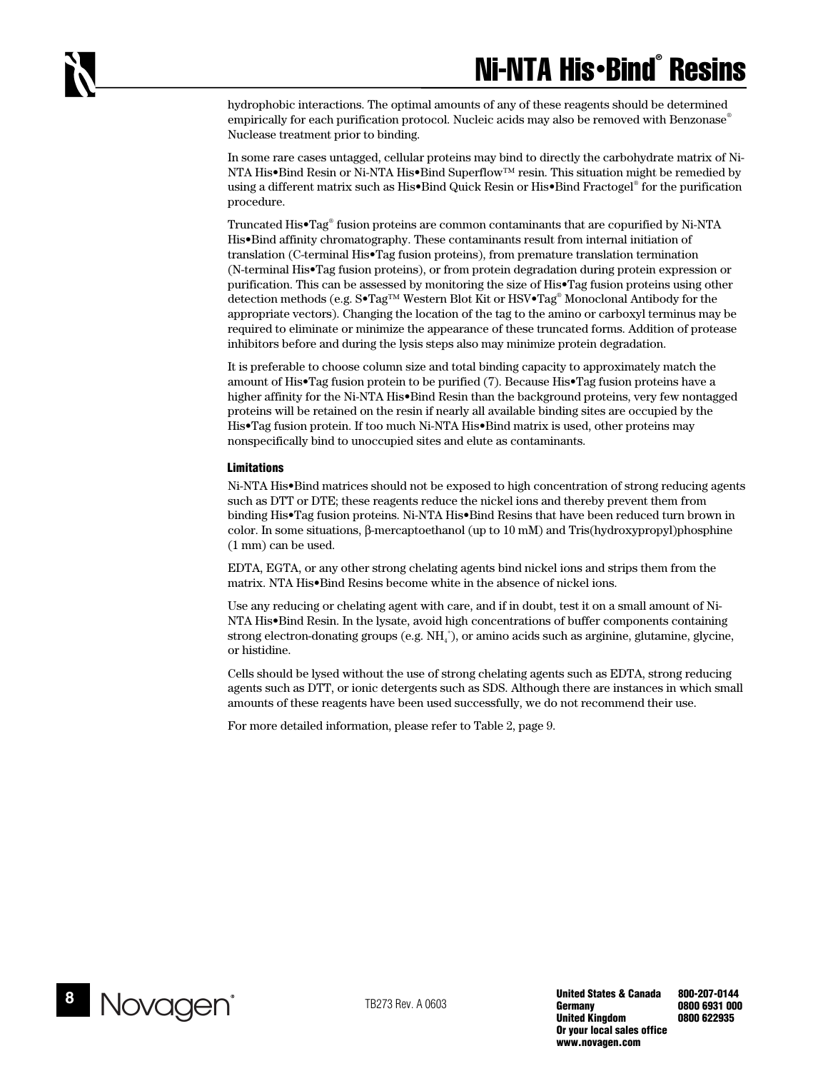hydrophobic interactions. The optimal amounts of any of these reagents should be determined empirically for each purification protocol. Nucleic acids may also be removed with Benzonase<sup>®</sup> Nuclease treatment prior to binding.

In some rare cases untagged, cellular proteins may bind to directly the carbohydrate matrix of Ni-NTA His•Bind Resin or Ni-NTA His•Bind Superflow™ resin. This situation might be remedied by using a different matrix such as His•Bind Quick Resin or His•Bind Fractogel® for the purification procedure.

Truncated His•Tag® fusion proteins are common contaminants that are copurified by Ni-NTA His•Bind affinity chromatography. These contaminants result from internal initiation of translation (C-terminal His•Tag fusion proteins), from premature translation termination (N-terminal His•Tag fusion proteins), or from protein degradation during protein expression or purification. This can be assessed by monitoring the size of His•Tag fusion proteins using other detection methods (e.g. S•Tag™ Western Blot Kit or HSV•Tag® Monoclonal Antibody for the appropriate vectors). Changing the location of the tag to the amino or carboxyl terminus may be required to eliminate or minimize the appearance of these truncated forms. Addition of protease inhibitors before and during the lysis steps also may minimize protein degradation.

It is preferable to choose column size and total binding capacity to approximately match the amount of His•Tag fusion protein to be purified (7). Because His•Tag fusion proteins have a higher affinity for the Ni-NTA His•Bind Resin than the background proteins, very few nontagged proteins will be retained on the resin if nearly all available binding sites are occupied by the His•Tag fusion protein. If too much Ni-NTA His•Bind matrix is used, other proteins may nonspecifically bind to unoccupied sites and elute as contaminants.

#### **Limitations**

Ni-NTA His•Bind matrices should not be exposed to high concentration of strong reducing agents such as DTT or DTE; these reagents reduce the nickel ions and thereby prevent them from binding His•Tag fusion proteins. Ni-NTA His•Bind Resins that have been reduced turn brown in color. In some situations, β-mercaptoethanol (up to 10 mM) and Tris(hydroxypropyl)phosphine (1 mm) can be used.

EDTA, EGTA, or any other strong chelating agents bind nickel ions and strips them from the matrix. NTA His•Bind Resins become white in the absence of nickel ions.

Use any reducing or chelating agent with care, and if in doubt, test it on a small amount of Ni-NTA His•Bind Resin. In the lysate, avoid high concentrations of buffer components containing strong electron-donating groups (e.g.  $NH_{4}^{+}$ ), or amino acids such as arginine, glutamine, glycine, or histidine.

Cells should be lysed without the use of strong chelating agents such as EDTA, strong reducing agents such as DTT, or ionic detergents such as SDS. Although there are instances in which small amounts of these reagents have been used successfully, we do not recommend their use.

For more detailed information, please refer to Table 2, page 9.

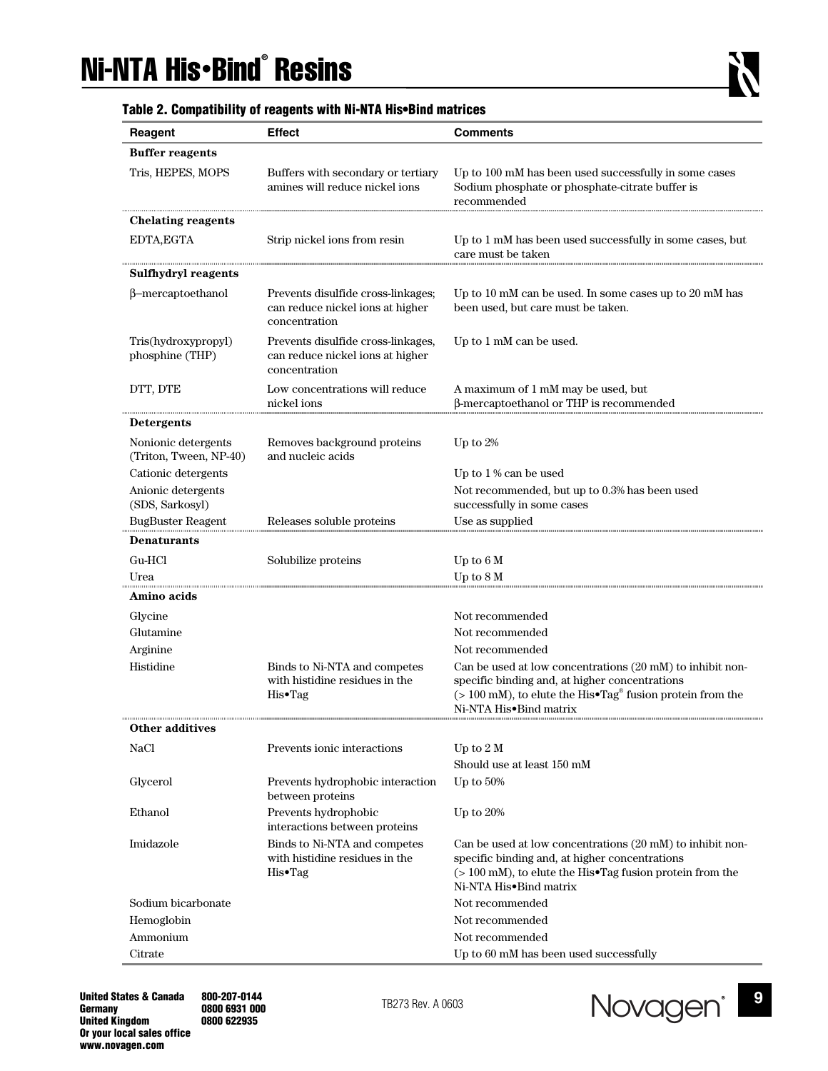# Ni-NTA His•Bind® Resins

| Reagent                                       | <b>Effect</b>                                                                           | <b>Comments</b>                                                                                                                                                                                                |
|-----------------------------------------------|-----------------------------------------------------------------------------------------|----------------------------------------------------------------------------------------------------------------------------------------------------------------------------------------------------------------|
|                                               |                                                                                         |                                                                                                                                                                                                                |
| <b>Buffer reagents</b>                        |                                                                                         |                                                                                                                                                                                                                |
| Tris, HEPES, MOPS                             | Buffers with secondary or tertiary<br>amines will reduce nickel ions                    | Up to 100 mM has been used successfully in some cases<br>Sodium phosphate or phosphate-citrate buffer is<br>recommended                                                                                        |
| Chelating reagents                            |                                                                                         |                                                                                                                                                                                                                |
| EDTA, EGTA                                    | Strip nickel ions from resin                                                            | Up to 1 mM has been used successfully in some cases, but<br>care must be taken                                                                                                                                 |
| Sulfhydryl reagents                           |                                                                                         |                                                                                                                                                                                                                |
| β-mercaptoethanol                             | Prevents disulfide cross-linkages;<br>can reduce nickel ions at higher<br>concentration | Up to 10 mM can be used. In some cases up to 20 mM has<br>been used, but care must be taken.                                                                                                                   |
| Tris(hydroxypropyl)<br>phosphine (THP)        | Prevents disulfide cross-linkages,<br>can reduce nickel ions at higher<br>concentration | Up to 1 mM can be used.                                                                                                                                                                                        |
| DTT, DTE                                      | Low concentrations will reduce                                                          | A maximum of 1 mM may be used, but                                                                                                                                                                             |
|                                               | nickel ions                                                                             | β-mercaptoethanol or THP is recommended                                                                                                                                                                        |
| <b>Detergents</b>                             |                                                                                         |                                                                                                                                                                                                                |
| Nonionic detergents<br>(Triton, Tween, NP-40) | Removes background proteins<br>and nucleic acids                                        | Up to $2\%$                                                                                                                                                                                                    |
| Cationic detergents                           |                                                                                         | Up to 1% can be used                                                                                                                                                                                           |
| Anionic detergents                            |                                                                                         | Not recommended, but up to 0.3% has been used                                                                                                                                                                  |
| (SDS, Sarkosyl)<br><b>BugBuster Reagent</b>   | Releases soluble proteins                                                               | successfully in some cases<br>Use as supplied                                                                                                                                                                  |
| <b>Denaturants</b>                            |                                                                                         |                                                                                                                                                                                                                |
| Gu-HCl                                        |                                                                                         |                                                                                                                                                                                                                |
| Urea                                          | Solubilize proteins                                                                     | Up to 6 M<br>Up to 8 M                                                                                                                                                                                         |
| Amino acids                                   |                                                                                         |                                                                                                                                                                                                                |
| Glycine                                       |                                                                                         | Not recommended                                                                                                                                                                                                |
| Glutamine                                     |                                                                                         | Not recommended                                                                                                                                                                                                |
| Arginine                                      |                                                                                         | Not recommended                                                                                                                                                                                                |
| Histidine                                     | Binds to Ni-NTA and competes                                                            | Can be used at low concentrations (20 mM) to inhibit non-                                                                                                                                                      |
|                                               | with histidine residues in the<br>His•Tag                                               | specific binding and, at higher concentrations<br>$($ > 100 mM), to elute the His•Tag <sup>®</sup> fusion protein from the<br>Ni-NTA His•Bind matrix                                                           |
| <b>Other additives</b>                        |                                                                                         |                                                                                                                                                                                                                |
| NaCl                                          | Prevents ionic interactions                                                             | Up to $2 M$                                                                                                                                                                                                    |
|                                               |                                                                                         | Should use at least 150 mM                                                                                                                                                                                     |
| Glycerol                                      | Prevents hydrophobic interaction<br>between proteins                                    | Up to $50\%$                                                                                                                                                                                                   |
| Ethanol                                       | Prevents hydrophobic<br>interactions between proteins                                   | Up to $20%$                                                                                                                                                                                                    |
| Imidazole                                     | Binds to Ni-NTA and competes<br>with histidine residues in the<br>His•Tag               | Can be used at low concentrations (20 mM) to inhibit non-<br>specific binding and, at higher concentrations<br>$($ > 100 mM), to elute the His $\bullet$ Tag fusion protein from the<br>Ni-NTA His•Bind matrix |
| Sodium bicarbonate                            |                                                                                         | Not recommended                                                                                                                                                                                                |
| Hemoglobin                                    |                                                                                         | Not recommended                                                                                                                                                                                                |
| Ammonium                                      |                                                                                         | Not recommended                                                                                                                                                                                                |
| Citrate                                       |                                                                                         | Up to 60 mM has been used successfully                                                                                                                                                                         |

## **Table 2. Compatibility of reagents with Ni-NTA His•Bind matrices**

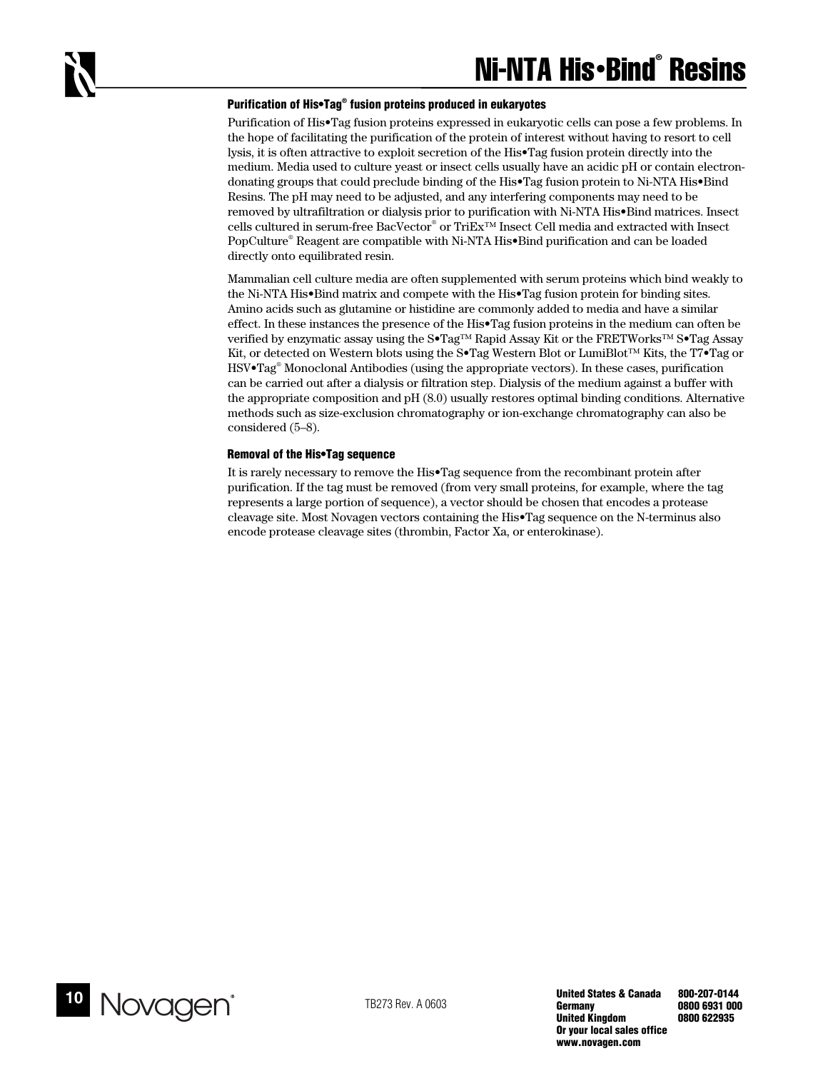#### **Purification of His•Tag® fusion proteins produced in eukaryotes**

Purification of His•Tag fusion proteins expressed in eukaryotic cells can pose a few problems. In the hope of facilitating the purification of the protein of interest without having to resort to cell lysis, it is often attractive to exploit secretion of the His•Tag fusion protein directly into the medium. Media used to culture yeast or insect cells usually have an acidic pH or contain electrondonating groups that could preclude binding of the His•Tag fusion protein to Ni-NTA His•Bind Resins. The pH may need to be adjusted, and any interfering components may need to be removed by ultrafiltration or dialysis prior to purification with Ni-NTA His•Bind matrices. Insect cells cultured in serum-free BacVector® or TriEx™ Insect Cell media and extracted with Insect PopCulture® Reagent are compatible with Ni-NTA His•Bind purification and can be loaded directly onto equilibrated resin.

Mammalian cell culture media are often supplemented with serum proteins which bind weakly to the Ni-NTA His•Bind matrix and compete with the His•Tag fusion protein for binding sites. Amino acids such as glutamine or histidine are commonly added to media and have a similar effect. In these instances the presence of the His•Tag fusion proteins in the medium can often be verified by enzymatic assay using the S•Tag™ Rapid Assay Kit or the FRETWorks™ S•Tag Assay Kit, or detected on Western blots using the S•Tag Western Blot or LumiBlot™ Kits, the T7•Tag or HSV•Tag® Monoclonal Antibodies (using the appropriate vectors). In these cases, purification can be carried out after a dialysis or filtration step. Dialysis of the medium against a buffer with the appropriate composition and pH (8.0) usually restores optimal binding conditions. Alternative methods such as size-exclusion chromatography or ion-exchange chromatography can also be considered (5–8).

#### **Removal of the His•Tag sequence**

It is rarely necessary to remove the His•Tag sequence from the recombinant protein after purification. If the tag must be removed (from very small proteins, for example, where the tag represents a large portion of sequence), a vector should be chosen that encodes a protease cleavage site. Most Novagen vectors containing the His•Tag sequence on the N-terminus also encode protease cleavage sites (thrombin, Factor Xa, or enterokinase).

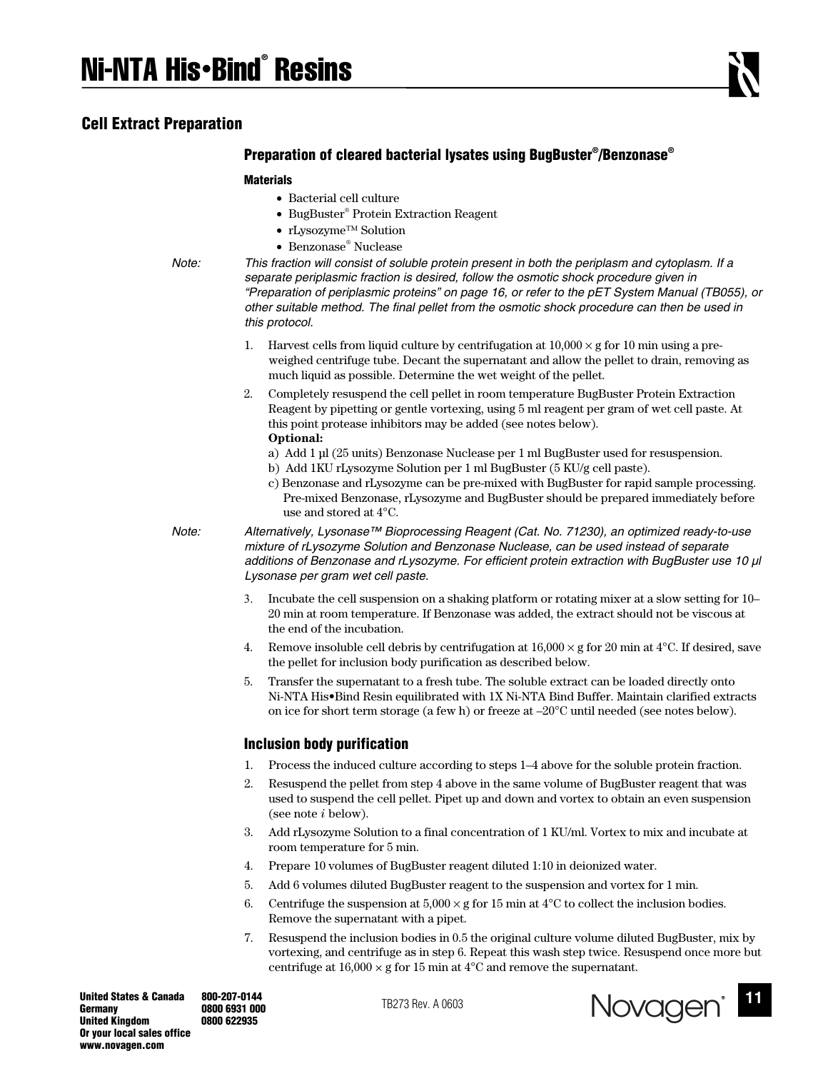**Cell Extract Preparation** 

## **Preparation of cleared bacterial lysates using BugBuster® /Benzonase®**

#### **Materials**

- Bacterial cell culture
- BugBuster® Protein Extraction Reagent
- rLysozyme™ Solution
- Benzonase® Nuclease

*Note: This fraction will consist of soluble protein present in both the periplasm and cytoplasm. If a separate periplasmic fraction is desired, follow the osmotic shock procedure given in "Preparation of periplasmic proteins" on page 16, or refer to the pET System Manual (TB055), or other suitable method. The final pellet from the osmotic shock procedure can then be used in this protocol.* 

- 1. Harvest cells from liquid culture by centrifugation at  $10,000 \times g$  for 10 min using a preweighed centrifuge tube. Decant the supernatant and allow the pellet to drain, removing as much liquid as possible. Determine the wet weight of the pellet.
- 2. Completely resuspend the cell pellet in room temperature BugBuster Protein Extraction Reagent by pipetting or gentle vortexing, using 5 ml reagent per gram of wet cell paste. At this point protease inhibitors may be added (see notes below). **Optional:** 
	- a) Add 1 µl (25 units) Benzonase Nuclease per 1 ml BugBuster used for resuspension.
	- b) Add 1KU rLysozyme Solution per 1 ml BugBuster (5 KU/g cell paste).
	- c) Benzonase and rLysozyme can be pre-mixed with BugBuster for rapid sample processing. Pre-mixed Benzonase, rLysozyme and BugBuster should be prepared immediately before use and stored at 4°C.

*Note: Alternatively, Lysonase™ Bioprocessing Reagent (Cat. No. 71230), an optimized ready-to-use mixture of rLysozyme Solution and Benzonase Nuclease, can be used instead of separate additions of Benzonase and rLysozyme. For efficient protein extraction with BugBuster use 10 µl Lysonase per gram wet cell paste.* 

- 3. Incubate the cell suspension on a shaking platform or rotating mixer at a slow setting for 10– 20 min at room temperature. If Benzonase was added, the extract should not be viscous at the end of the incubation.
- 4. Remove insoluble cell debris by centrifugation at  $16,000 \times g$  for 20 min at 4<sup>o</sup>C. If desired, save the pellet for inclusion body purification as described below.
- 5. Transfer the supernatant to a fresh tube. The soluble extract can be loaded directly onto Ni-NTA His•Bind Resin equilibrated with 1X Ni-NTA Bind Buffer. Maintain clarified extracts on ice for short term storage (a few h) or freeze at –20°C until needed (see notes below).

## **Inclusion body purification**

- 1. Process the induced culture according to steps 1–4 above for the soluble protein fraction.
- 2. Resuspend the pellet from step 4 above in the same volume of BugBuster reagent that was used to suspend the cell pellet. Pipet up and down and vortex to obtain an even suspension (see note *i* below).
- 3. Add rLysozyme Solution to a final concentration of 1 KU/ml. Vortex to mix and incubate at room temperature for 5 min.
- 4. Prepare 10 volumes of BugBuster reagent diluted 1:10 in deionized water.
- 5. Add 6 volumes diluted BugBuster reagent to the suspension and vortex for 1 min.
- 6. Centrifuge the suspension at  $5,000 \times g$  for 15 min at 4<sup>o</sup>C to collect the inclusion bodies. Remove the supernatant with a pipet.
- 7. Resuspend the inclusion bodies in 0.5 the original culture volume diluted BugBuster, mix by vortexing, and centrifuge as in step 6. Repeat this wash step twice. Resuspend once more but centrifuge at  $16,000 \times g$  for 15 min at 4°C and remove the supernatant.

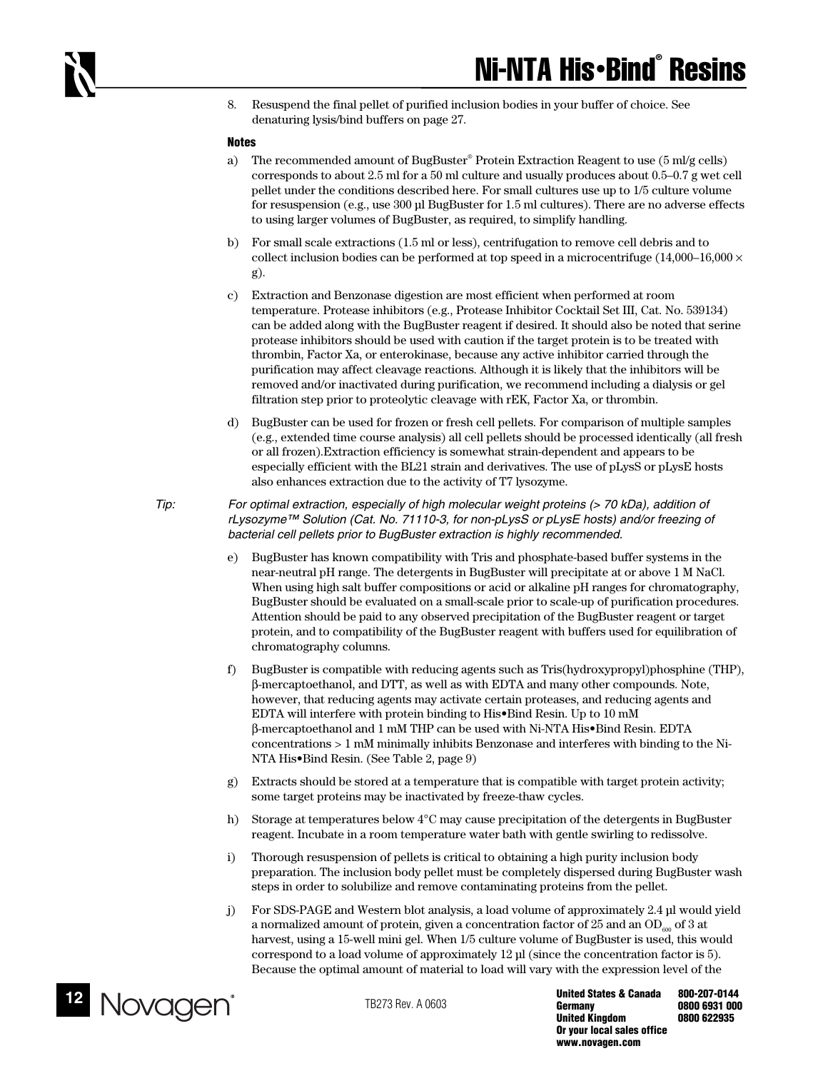8. Resuspend the final pellet of purified inclusion bodies in your buffer of choice. See denaturing lysis/bind buffers on page 27.

#### **Notes**

- a) The recommended amount of BugBuster® Protein Extraction Reagent to use (5 ml/g cells) corresponds to about 2.5 ml for a 50 ml culture and usually produces about 0.5–0.7 g wet cell pellet under the conditions described here. For small cultures use up to 1/5 culture volume for resuspension (e.g., use 300 µl BugBuster for 1.5 ml cultures). There are no adverse effects to using larger volumes of BugBuster, as required, to simplify handling.
- b) For small scale extractions (1.5 ml or less), centrifugation to remove cell debris and to collect inclusion bodies can be performed at top speed in a microcentrifuge (14,000–16,000  $\times$ g).
- c) Extraction and Benzonase digestion are most efficient when performed at room temperature. Protease inhibitors (e.g., Protease Inhibitor Cocktail Set III, Cat. No. 539134) can be added along with the BugBuster reagent if desired. It should also be noted that serine protease inhibitors should be used with caution if the target protein is to be treated with thrombin, Factor Xa, or enterokinase, because any active inhibitor carried through the purification may affect cleavage reactions. Although it is likely that the inhibitors will be removed and/or inactivated during purification, we recommend including a dialysis or gel filtration step prior to proteolytic cleavage with rEK, Factor Xa, or thrombin.
- d) BugBuster can be used for frozen or fresh cell pellets. For comparison of multiple samples (e.g., extended time course analysis) all cell pellets should be processed identically (all fresh or all frozen).Extraction efficiency is somewhat strain-dependent and appears to be especially efficient with the BL21 strain and derivatives. The use of pLysS or pLysE hosts also enhances extraction due to the activity of T7 lysozyme.
- *Tip: For optimal extraction, especially of high molecular weight proteins (> 70 kDa), addition of rLysozyme™ Solution (Cat. No. 71110-3, for non-pLysS or pLysE hosts) and/or freezing of bacterial cell pellets prior to BugBuster extraction is highly recommended.* 
	- e) BugBuster has known compatibility with Tris and phosphate-based buffer systems in the near-neutral pH range. The detergents in BugBuster will precipitate at or above 1 M NaCl. When using high salt buffer compositions or acid or alkaline pH ranges for chromatography, BugBuster should be evaluated on a small-scale prior to scale-up of purification procedures. Attention should be paid to any observed precipitation of the BugBuster reagent or target protein, and to compatibility of the BugBuster reagent with buffers used for equilibration of chromatography columns.
	- f) BugBuster is compatible with reducing agents such as Tris(hydroxypropyl)phosphine (THP), β-mercaptoethanol, and DTT, as well as with EDTA and many other compounds. Note, however, that reducing agents may activate certain proteases, and reducing agents and EDTA will interfere with protein binding to His•Bind Resin. Up to 10 mM β-mercaptoethanol and 1 mM THP can be used with Ni-NTA His•Bind Resin. EDTA concentrations > 1 mM minimally inhibits Benzonase and interferes with binding to the Ni-NTA His•Bind Resin. (See Table 2, page 9)
	- g) Extracts should be stored at a temperature that is compatible with target protein activity; some target proteins may be inactivated by freeze-thaw cycles.
	- h) Storage at temperatures below 4°C may cause precipitation of the detergents in BugBuster reagent. Incubate in a room temperature water bath with gentle swirling to redissolve.
	- i) Thorough resuspension of pellets is critical to obtaining a high purity inclusion body preparation. The inclusion body pellet must be completely dispersed during BugBuster wash steps in order to solubilize and remove contaminating proteins from the pellet.
	- j) For SDS-PAGE and Western blot analysis, a load volume of approximately 2.4 µl would yield a normalized amount of protein, given a concentration factor of 25 and an  $OD_{\epsilon_{00}}$  of 3 at harvest, using a 15-well mini gel. When 1/5 culture volume of BugBuster is used, this would correspond to a load volume of approximately 12 µl (since the concentration factor is 5). Because the optimal amount of material to load will vary with the expression level of the

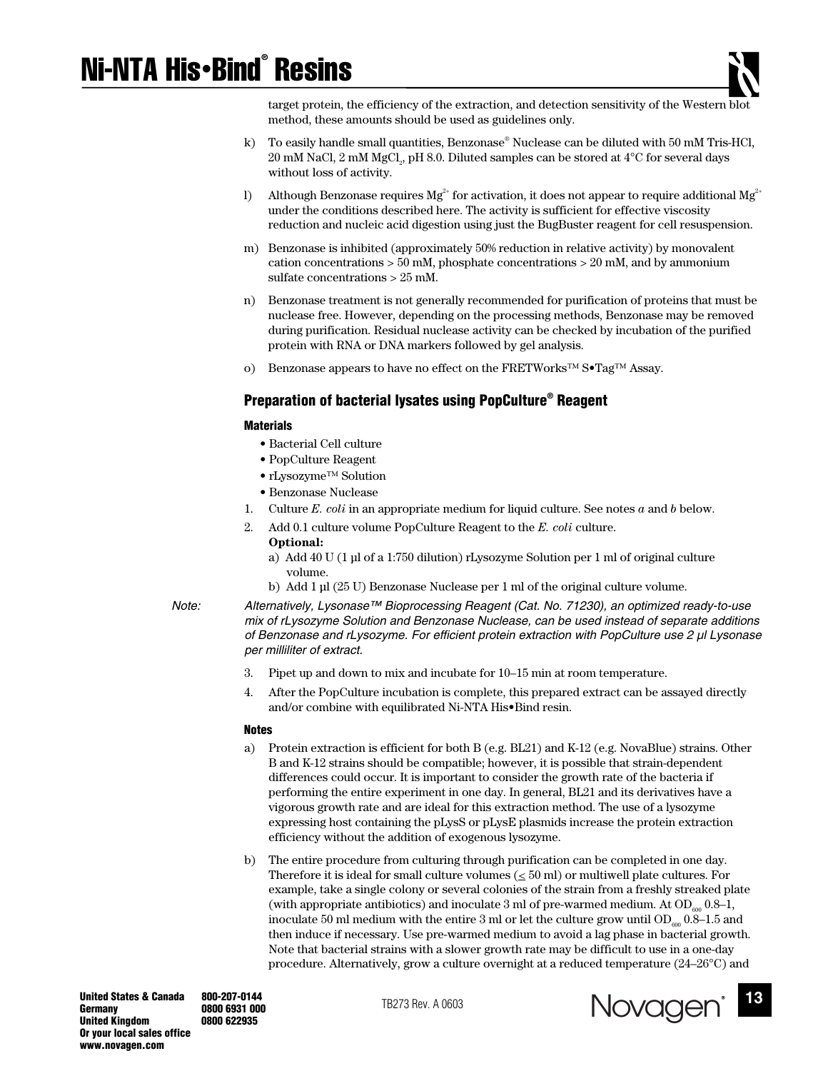# Ni-NTA His•Bind® Resins



target protein, the efficiency of the extraction, and detection sensitivity of the Western blot method, these amounts should be used as guidelines only.

- k) To easily handle small quantities, Benzonase® Nuclease can be diluted with 50 mM Tris-HCl,  $20 \text{ }\mathrm{mM}$  NaCl,  $2 \text{ }\mathrm{mM}$  MgCl $_{2}$ , pH 8.0. Diluted samples can be stored at  $4^{\circ}\mathrm{C}$  for several days without loss of activity.
- l) Although Benzonase requires  $Mg^{2+}$  for activation, it does not appear to require additional  $Mg^{2+}$ under the conditions described here. The activity is sufficient for effective viscosity reduction and nucleic acid digestion using just the BugBuster reagent for cell resuspension.
- m) Benzonase is inhibited (approximately 50% reduction in relative activity) by monovalent cation concentrations > 50 mM, phosphate concentrations > 20 mM, and by ammonium sulfate concentrations > 25 mM.
- n) Benzonase treatment is not generally recommended for purification of proteins that must be nuclease free. However, depending on the processing methods, Benzonase may be removed during purification. Residual nuclease activity can be checked by incubation of the purified protein with RNA or DNA markers followed by gel analysis.
- o) Benzonase appears to have no effect on the FRETWorks™ S•Tag™ Assay.

## **Preparation of bacterial lysates using PopCulture® Reagent**

#### **Materials**

- Bacterial Cell culture
- PopCulture Reagent
- rLysozyme™ Solution
- Benzonase Nuclease
- 1. Culture *E. coli* in an appropriate medium for liquid culture. See notes *a* and *b* below.
- 2. Add 0.1 culture volume PopCulture Reagent to the *E. coli* culture.
	- **Optional:**
	- a) Add 40 U (1 µl of a 1:750 dilution) rLysozyme Solution per 1 ml of original culture volume.
	- b) Add 1 µl (25 U) Benzonase Nuclease per 1 ml of the original culture volume.
- 

*Note: Alternatively, Lysonase™ Bioprocessing Reagent (Cat. No. 71230), an optimized ready-to-use mix of rLysozyme Solution and Benzonase Nuclease, can be used instead of separate additions of Benzonase and rLysozyme. For efficient protein extraction with PopCulture use 2 µl Lysonase per milliliter of extract.* 

- 3. Pipet up and down to mix and incubate for 10–15 min at room temperature.
- 4. After the PopCulture incubation is complete, this prepared extract can be assayed directly and/or combine with equilibrated Ni-NTA His•Bind resin.

#### **Notes**

- a) Protein extraction is efficient for both B (e.g. BL21) and K-12 (e.g. NovaBlue) strains. Other B and K-12 strains should be compatible; however, it is possible that strain-dependent differences could occur. It is important to consider the growth rate of the bacteria if performing the entire experiment in one day. In general, BL21 and its derivatives have a vigorous growth rate and are ideal for this extraction method. The use of a lysozyme expressing host containing the pLysS or pLysE plasmids increase the protein extraction efficiency without the addition of exogenous lysozyme.
- b) The entire procedure from culturing through purification can be completed in one day. Therefore it is ideal for small culture volumes ( $\leq 50$  ml) or multiwell plate cultures. For example, take a single colony or several colonies of the strain from a freshly streaked plate (with appropriate antibiotics) and inoculate 3 ml of pre-warmed medium. At  $OD_{\alpha_{00}}$  0.8–1, inoculate 50 ml medium with the entire 3 ml or let the culture grow until  $OD_{\alpha_0}$  0.8–1.5 and then induce if necessary. Use pre-warmed medium to avoid a lag phase in bacterial growth. Note that bacterial strains with a slower growth rate may be difficult to use in a one-day procedure. Alternatively, grow a culture overnight at a reduced temperature (24–26°C) and

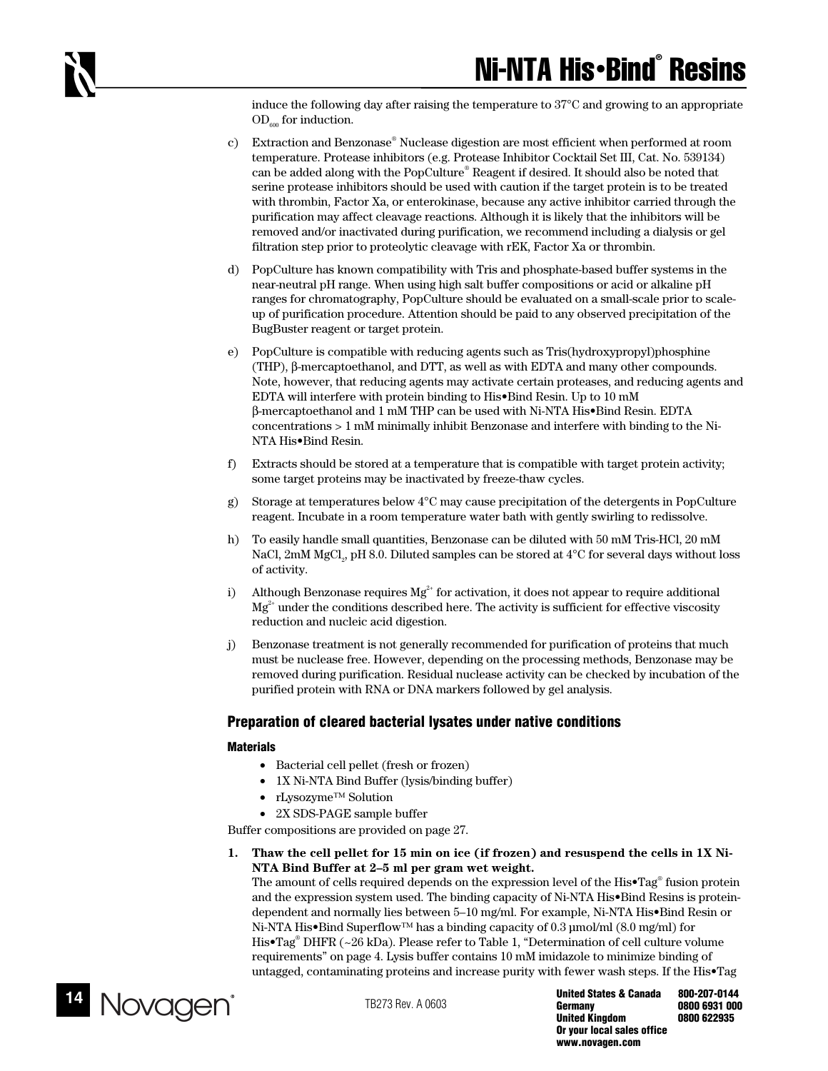induce the following day after raising the temperature to 37°C and growing to an appropriate  $OD<sub>600</sub>$  for induction.

- c) Extraction and Benzonase® Nuclease digestion are most efficient when performed at room temperature. Protease inhibitors (e.g. Protease Inhibitor Cocktail Set III, Cat. No. 539134) can be added along with the PopCulture® Reagent if desired. It should also be noted that serine protease inhibitors should be used with caution if the target protein is to be treated with thrombin, Factor Xa, or enterokinase, because any active inhibitor carried through the purification may affect cleavage reactions. Although it is likely that the inhibitors will be removed and/or inactivated during purification, we recommend including a dialysis or gel filtration step prior to proteolytic cleavage with rEK, Factor Xa or thrombin.
- d) PopCulture has known compatibility with Tris and phosphate-based buffer systems in the near-neutral pH range. When using high salt buffer compositions or acid or alkaline pH ranges for chromatography, PopCulture should be evaluated on a small-scale prior to scaleup of purification procedure. Attention should be paid to any observed precipitation of the BugBuster reagent or target protein.
- e) PopCulture is compatible with reducing agents such as Tris(hydroxypropyl)phosphine (THP), β-mercaptoethanol, and DTT, as well as with EDTA and many other compounds. Note, however, that reducing agents may activate certain proteases, and reducing agents and EDTA will interfere with protein binding to His•Bind Resin. Up to 10 mM β-mercaptoethanol and 1 mM THP can be used with Ni-NTA His•Bind Resin. EDTA concentrations > 1 mM minimally inhibit Benzonase and interfere with binding to the Ni-NTA His•Bind Resin.
- f) Extracts should be stored at a temperature that is compatible with target protein activity; some target proteins may be inactivated by freeze-thaw cycles.
- g) Storage at temperatures below 4°C may cause precipitation of the detergents in PopCulture reagent. Incubate in a room temperature water bath with gently swirling to redissolve.
- h) To easily handle small quantities, Benzonase can be diluted with 50 mM Tris-HCl, 20 mM NaCl,  $2 \text{mM MgCl}_2$ , pH 8.0. Diluted samples can be stored at 4°C for several days without loss of activity.
- i) Although Benzonase requires  $Mg^{2+}$  for activation, it does not appear to require additional  $Mg^{2+}$  under the conditions described here. The activity is sufficient for effective viscosity reduction and nucleic acid digestion.
- j) Benzonase treatment is not generally recommended for purification of proteins that much must be nuclease free. However, depending on the processing methods, Benzonase may be removed during purification. Residual nuclease activity can be checked by incubation of the purified protein with RNA or DNA markers followed by gel analysis.

## **Preparation of cleared bacterial lysates under native conditions**

## **Materials**

- Bacterial cell pellet (fresh or frozen)
- 1X Ni-NTA Bind Buffer (lysis/binding buffer)
- rLysozyme™ Solution
- 2X SDS-PAGE sample buffer

Buffer compositions are provided on page 27.

**1. Thaw the cell pellet for 15 min on ice (if frozen) and resuspend the cells in 1X Ni-NTA Bind Buffer at 2–5 ml per gram wet weight.** 

The amount of cells required depends on the expression level of the His•Tag® fusion protein and the expression system used. The binding capacity of Ni-NTA His•Bind Resins is proteindependent and normally lies between 5–10 mg/ml. For example, Ni-NTA His•Bind Resin or Ni-NTA His•Bind Superflow™ has a binding capacity of 0.3 µmol/ml (8.0 mg/ml) for His•Tag® DHFR (~26 kDa). Please refer to Table 1, "Determination of cell culture volume requirements" on page 4. Lysis buffer contains 10 mM imidazole to minimize binding of untagged, contaminating proteins and increase purity with fewer wash steps. If the His•Tag



**United States & Canada 800-207-0144 Germany 0800 6931 000 United Kingdom Or your local sales office www.novagen.com**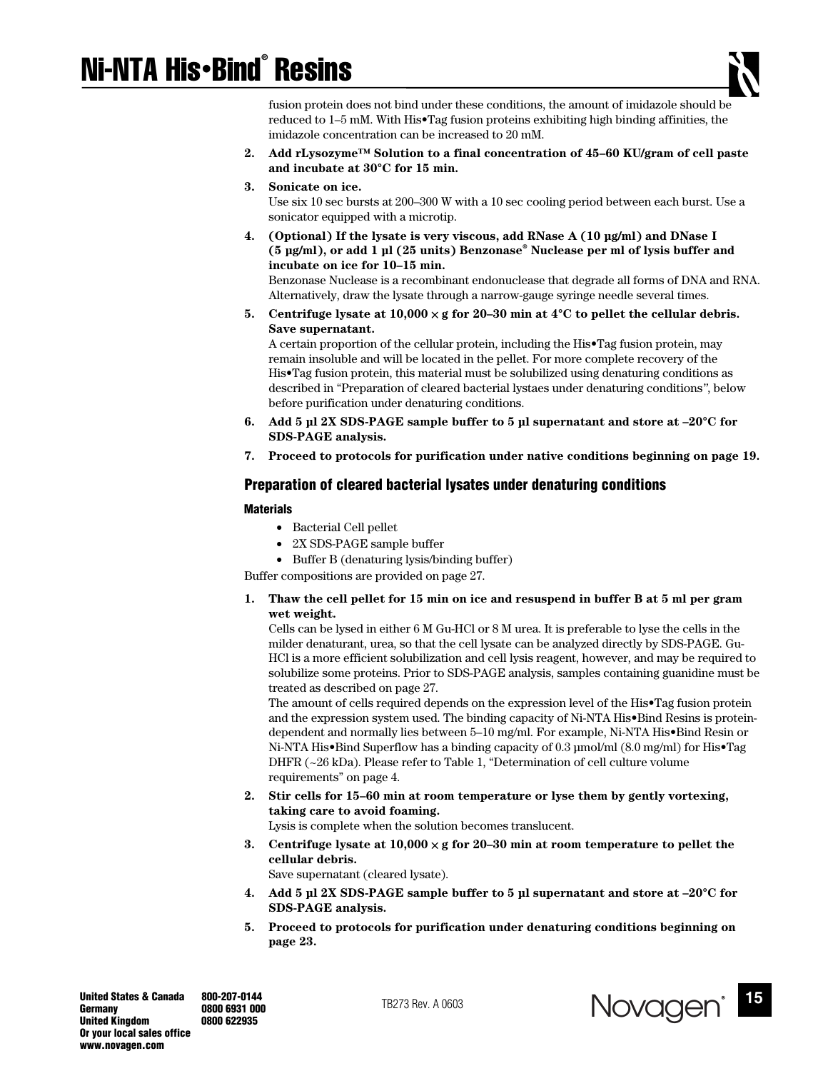# Ni-NTA His•Bind® Resins



fusion protein does not bind under these conditions, the amount of imidazole should be reduced to 1–5 mM. With His•Tag fusion proteins exhibiting high binding affinities, the imidazole concentration can be increased to 20 mM.

- **2. Add rLysozyme™ Solution to a final concentration of 45–60 KU/gram of cell paste and incubate at 30°C for 15 min.**
- **3. Sonicate on ice.**  Use six 10 sec bursts at 200–300 W with a 10 sec cooling period between each burst. Use a sonicator equipped with a microtip.
- **4. (Optional) If the lysate is very viscous, add RNase A (10 µg/ml) and DNase I (5 µg/ml), or add 1 µl (25 units) Benzonase® Nuclease per ml of lysis buffer and incubate on ice for 10–15 min.**

Benzonase Nuclease is a recombinant endonuclease that degrade all forms of DNA and RNA. Alternatively, draw the lysate through a narrow-gauge syringe needle several times.

5. Centrifuge lysate at  $10,000 \times g$  for 20–30 min at  $4^{\circ}$ C to pellet the cellular debris. **Save supernatant.** 

A certain proportion of the cellular protein, including the His•Tag fusion protein, may remain insoluble and will be located in the pellet. For more complete recovery of the His•Tag fusion protein, this material must be solubilized using denaturing conditions as described in "Preparation of cleared bacterial lystaes under denaturing conditions*"*, below before purification under denaturing conditions.

- **6. Add 5 µl 2X SDS-PAGE sample buffer to 5 µl supernatant and store at –20°C for SDS-PAGE analysis.**
- **7. Proceed to protocols for purification under native conditions beginning on page 19.**

## **Preparation of cleared bacterial lysates under denaturing conditions**

## **Materials**

- Bacterial Cell pellet
- 2X SDS-PAGE sample buffer
- Buffer B (denaturing lysis/binding buffer)

Buffer compositions are provided on page 27.

**1. Thaw the cell pellet for 15 min on ice and resuspend in buffer B at 5 ml per gram wet weight.** 

Cells can be lysed in either 6 M Gu-HCl or 8 M urea. It is preferable to lyse the cells in the milder denaturant, urea, so that the cell lysate can be analyzed directly by SDS-PAGE. Gu-HCl is a more efficient solubilization and cell lysis reagent, however, and may be required to solubilize some proteins. Prior to SDS-PAGE analysis, samples containing guanidine must be treated as described on page 27.

The amount of cells required depends on the expression level of the His•Tag fusion protein and the expression system used. The binding capacity of Ni-NTA His•Bind Resins is proteindependent and normally lies between 5–10 mg/ml. For example, Ni-NTA His•Bind Resin or Ni-NTA His•Bind Superflow has a binding capacity of 0.3 µmol/ml (8.0 mg/ml) for His•Tag DHFR (~26 kDa). Please refer to Table 1, "Determination of cell culture volume requirements" on page 4.

**2. Stir cells for 15–60 min at room temperature or lyse them by gently vortexing, taking care to avoid foaming.** 

Lysis is complete when the solution becomes translucent.

**3. Centrifuge lysate at 10,000** × **g for 20–30 min at room temperature to pellet the cellular debris.**  Save supernatant (cleared lysate).

**4. Add 5 µl 2X SDS-PAGE sample buffer to 5 µl supernatant and store at –20°C for SDS-PAGE analysis.** 

**5. Proceed to protocols for purification under denaturing conditions beginning on page 23.** 

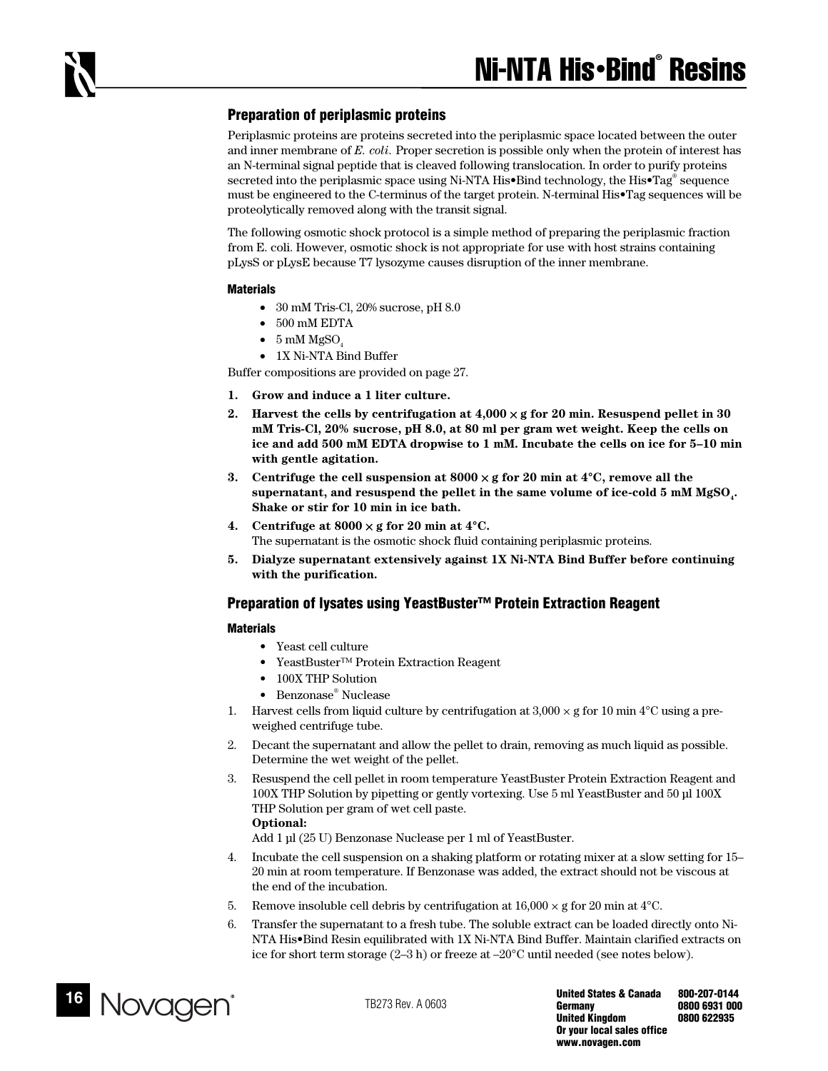## **Preparation of periplasmic proteins**

Periplasmic proteins are proteins secreted into the periplasmic space located between the outer and inner membrane of *E. coli.* Proper secretion is possible only when the protein of interest has an N-terminal signal peptide that is cleaved following translocation. In order to purify proteins secreted into the periplasmic space using Ni-NTA His•Bind technology, the His•Tag® sequence must be engineered to the C-terminus of the target protein. N-terminal His•Tag sequences will be proteolytically removed along with the transit signal.

The following osmotic shock protocol is a simple method of preparing the periplasmic fraction from E. coli. However, osmotic shock is not appropriate for use with host strains containing pLysS or pLysE because T7 lysozyme causes disruption of the inner membrane.

#### **Materials**

- 30 mM Tris-Cl, 20% sucrose, pH 8.0
- 500 mM EDTA
- $\bullet$  5 mM MgSO
- 1X Ni-NTA Bind Buffer

Buffer compositions are provided on page 27.

- **1. Grow and induce a 1 liter culture.**
- **2. Harvest the cells by centrifugation at 4,000** × **g for 20 min. Resuspend pellet in 30 mM Tris-Cl, 20% sucrose, pH 8.0, at 80 ml per gram wet weight. Keep the cells on ice and add 500 mM EDTA dropwise to 1 mM. Incubate the cells on ice for 5–10 min with gentle agitation.**
- **3. Centrifuge the cell suspension at 8000** × **g for 20 min at 4°C, remove all the**  supernatant, and resuspend the pellet in the same volume of ice-cold 5 mM MgSO<sub>1</sub>. **Shake or stir for 10 min in ice bath.**
- **4. Centrifuge at 8000** × **g for 20 min at 4°C.**  The supernatant is the osmotic shock fluid containing periplasmic proteins.
- **5. Dialyze supernatant extensively against 1X Ni-NTA Bind Buffer before continuing with the purification.**

## **Preparation of lysates using YeastBuster™ Protein Extraction Reagent**

## **Materials**

- Yeast cell culture
- YeastBuster™ Protein Extraction Reagent
- 100X THP Solution
- Benzonase® Nuclease
- 1. Harvest cells from liquid culture by centrifugation at  $3,000 \times g$  for 10 min 4<sup>o</sup>C using a preweighed centrifuge tube.
- 2. Decant the supernatant and allow the pellet to drain, removing as much liquid as possible. Determine the wet weight of the pellet.
- 3. Resuspend the cell pellet in room temperature YeastBuster Protein Extraction Reagent and 100X THP Solution by pipetting or gently vortexing. Use 5 ml YeastBuster and 50 µl 100X THP Solution per gram of wet cell paste. **Optional:**

Add 1 µl (25 U) Benzonase Nuclease per 1 ml of YeastBuster.

- 4. Incubate the cell suspension on a shaking platform or rotating mixer at a slow setting for 15– 20 min at room temperature. If Benzonase was added, the extract should not be viscous at the end of the incubation.
- 5. Remove insoluble cell debris by centrifugation at  $16,000 \times g$  for 20 min at 4<sup>o</sup>C.
- 6. Transfer the supernatant to a fresh tube. The soluble extract can be loaded directly onto Ni-NTA His•Bind Resin equilibrated with 1X Ni-NTA Bind Buffer. Maintain clarified extracts on ice for short term storage (2–3 h) or freeze at –20°C until needed (see notes below).

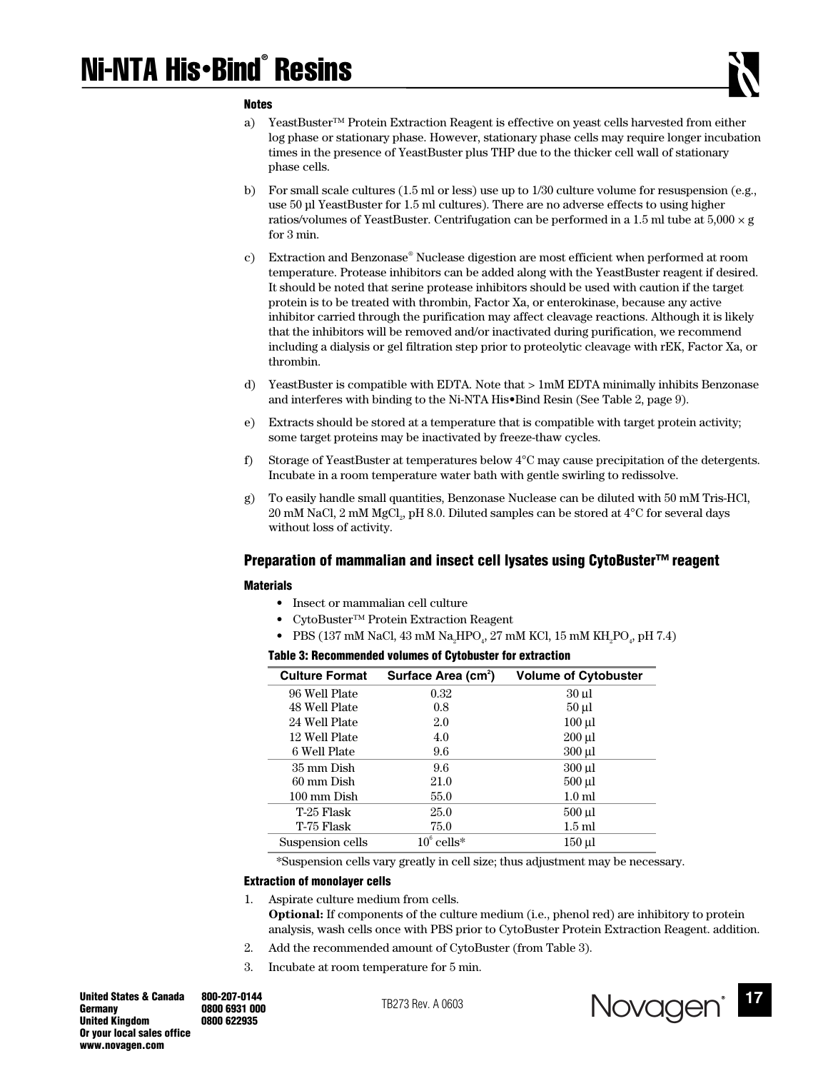#### **Notes**

- a) YeastBuster™ Protein Extraction Reagent is effective on yeast cells harvested from either log phase or stationary phase. However, stationary phase cells may require longer incubation times in the presence of YeastBuster plus THP due to the thicker cell wall of stationary phase cells.
- b) For small scale cultures (1.5 ml or less) use up to 1/30 culture volume for resuspension (e.g., use 50 µl YeastBuster for 1.5 ml cultures). There are no adverse effects to using higher ratios/volumes of YeastBuster. Centrifugation can be performed in a 1.5 ml tube at  $5,000 \times g$ for 3 min.
- c) Extraction and Benzonase® Nuclease digestion are most efficient when performed at room temperature. Protease inhibitors can be added along with the YeastBuster reagent if desired. It should be noted that serine protease inhibitors should be used with caution if the target protein is to be treated with thrombin, Factor Xa, or enterokinase, because any active inhibitor carried through the purification may affect cleavage reactions. Although it is likely that the inhibitors will be removed and/or inactivated during purification, we recommend including a dialysis or gel filtration step prior to proteolytic cleavage with rEK, Factor Xa, or thrombin.
- d) YeastBuster is compatible with EDTA. Note that > 1mM EDTA minimally inhibits Benzonase and interferes with binding to the Ni-NTA His•Bind Resin (See Table 2, page 9).
- e) Extracts should be stored at a temperature that is compatible with target protein activity; some target proteins may be inactivated by freeze-thaw cycles.
- f) Storage of YeastBuster at temperatures below 4°C may cause precipitation of the detergents. Incubate in a room temperature water bath with gentle swirling to redissolve.
- g) To easily handle small quantities, Benzonase Nuclease can be diluted with 50 mM Tris-HCl,  $20 \text{ mM NaCl}, 2 \text{ mM MgCl}_2, \text{pH 8.0}.$  Diluted samples can be stored at  $4^{\circ}\mathrm{C}$  for several days without loss of activity.

## **Preparation of mammalian and insect cell lysates using CytoBuster™ reagent**

#### **Materials**

- Insect or mammalian cell culture
- CytoBuster™ Protein Extraction Reagent
- PBS (137 mM NaCl, 43 mM Na<sub>2</sub>HPO<sub>4</sub>, 27 mM KCl, 15 mM KH<sub>2</sub>PO<sub>4</sub>, pH 7.4)

## **Table 3: Recommended volumes of Cytobuster for extraction**

| <b>Culture Format</b> | Surface Area (cm <sup>2</sup> ) | <b>Volume of Cytobuster</b> |
|-----------------------|---------------------------------|-----------------------------|
| 96 Well Plate         | 0.32                            | 30 ul                       |
| 48 Well Plate         | 0.8                             | $50 \mu l$                  |
| 24 Well Plate         | 2.0                             | $100 \mu l$                 |
| 12 Well Plate         | 4.0                             | $200 \mu l$                 |
| 6 Well Plate          | 9.6                             | 300 µl                      |
| 35 mm Dish            | 9.6                             | $300$ ul                    |
| 60 mm Dish            | 21.0                            | $500 \mu l$                 |
| 100 mm Dish           | 55.0                            | 1.0 <sub>m</sub>            |
| T-25 Flask            | 25.0                            | $500$ ul                    |
| T-75 Flask            | 75.0                            | 1.5 ml                      |
| Suspension cells      | $10^6$ cells*                   | 150 µl                      |

\*Suspension cells vary greatly in cell size; thus adjustment may be necessary.

#### **Extraction of monolayer cells**

- 1. Aspirate culture medium from cells. **Optional:** If components of the culture medium (i.e., phenol red) are inhibitory to protein analysis, wash cells once with PBS prior to CytoBuster Protein Extraction Reagent. addition.
- 2. Add the recommended amount of CytoBuster (from Table 3).
- 3. Incubate at room temperature for 5 min.

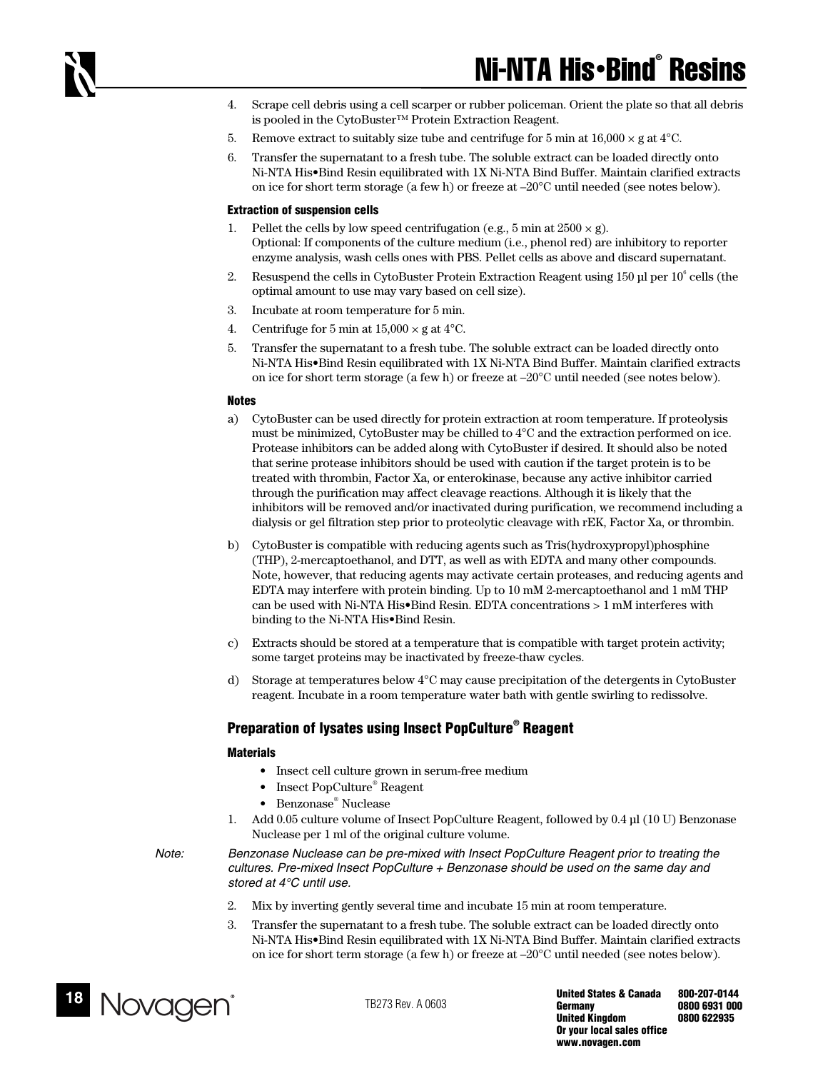- 4. Scrape cell debris using a cell scarper or rubber policeman. Orient the plate so that all debris is pooled in the CytoBuster™ Protein Extraction Reagent.
- 5. Remove extract to suitably size tube and centrifuge for 5 min at  $16,000 \times g$  at  $4^{\circ}$ C.
- 6. Transfer the supernatant to a fresh tube. The soluble extract can be loaded directly onto Ni-NTA His•Bind Resin equilibrated with 1X Ni-NTA Bind Buffer. Maintain clarified extracts on ice for short term storage (a few h) or freeze at –20°C until needed (see notes below).

#### **Extraction of suspension cells**

- 1. Pellet the cells by low speed centrifugation (e.g., 5 min at  $2500 \times g$ ). Optional: If components of the culture medium (i.e., phenol red) are inhibitory to reporter enzyme analysis, wash cells ones with PBS. Pellet cells as above and discard supernatant.
- 2. Resuspend the cells in CytoBuster Protein Extraction Reagent using 150  $\mu$ l per 10<sup>6</sup> cells (the optimal amount to use may vary based on cell size).
- 3. Incubate at room temperature for 5 min.
- 4. Centrifuge for 5 min at  $15,000 \times$  g at  $4^{\circ}$ C.
- 5. Transfer the supernatant to a fresh tube. The soluble extract can be loaded directly onto Ni-NTA His•Bind Resin equilibrated with 1X Ni-NTA Bind Buffer. Maintain clarified extracts on ice for short term storage (a few h) or freeze at –20°C until needed (see notes below).

#### **Notes**

- a) CytoBuster can be used directly for protein extraction at room temperature. If proteolysis must be minimized, CytoBuster may be chilled to 4°C and the extraction performed on ice. Protease inhibitors can be added along with CytoBuster if desired. It should also be noted that serine protease inhibitors should be used with caution if the target protein is to be treated with thrombin, Factor Xa, or enterokinase, because any active inhibitor carried through the purification may affect cleavage reactions. Although it is likely that the inhibitors will be removed and/or inactivated during purification, we recommend including a dialysis or gel filtration step prior to proteolytic cleavage with rEK, Factor Xa, or thrombin.
- b) CytoBuster is compatible with reducing agents such as Tris(hydroxypropyl)phosphine (THP), 2-mercaptoethanol, and DTT, as well as with EDTA and many other compounds. Note, however, that reducing agents may activate certain proteases, and reducing agents and EDTA may interfere with protein binding. Up to 10 mM 2-mercaptoethanol and 1 mM THP can be used with Ni-NTA His•Bind Resin. EDTA concentrations > 1 mM interferes with binding to the Ni-NTA His•Bind Resin.
- c) Extracts should be stored at a temperature that is compatible with target protein activity; some target proteins may be inactivated by freeze-thaw cycles.
- d) Storage at temperatures below 4°C may cause precipitation of the detergents in CytoBuster reagent. Incubate in a room temperature water bath with gentle swirling to redissolve.

## **Preparation of lysates using Insect PopCulture® Reagent**

#### **Materials**

- Insect cell culture grown in serum-free medium
- Insect PopCulture® Reagent
- Benzonase® Nuclease
- 1. Add 0.05 culture volume of Insect PopCulture Reagent, followed by 0.4 µl (10 U) Benzonase Nuclease per 1 ml of the original culture volume.

*Note: Benzonase Nuclease can be pre-mixed with Insect PopCulture Reagent prior to treating the cultures. Pre-mixed Insect PopCulture + Benzonase should be used on the same day and stored at 4°C until use.* 

- 2. Mix by inverting gently several time and incubate 15 min at room temperature.
- 3. Transfer the supernatant to a fresh tube. The soluble extract can be loaded directly onto Ni-NTA His•Bind Resin equilibrated with 1X Ni-NTA Bind Buffer. Maintain clarified extracts on ice for short term storage (a few h) or freeze at –20°C until needed (see notes below).

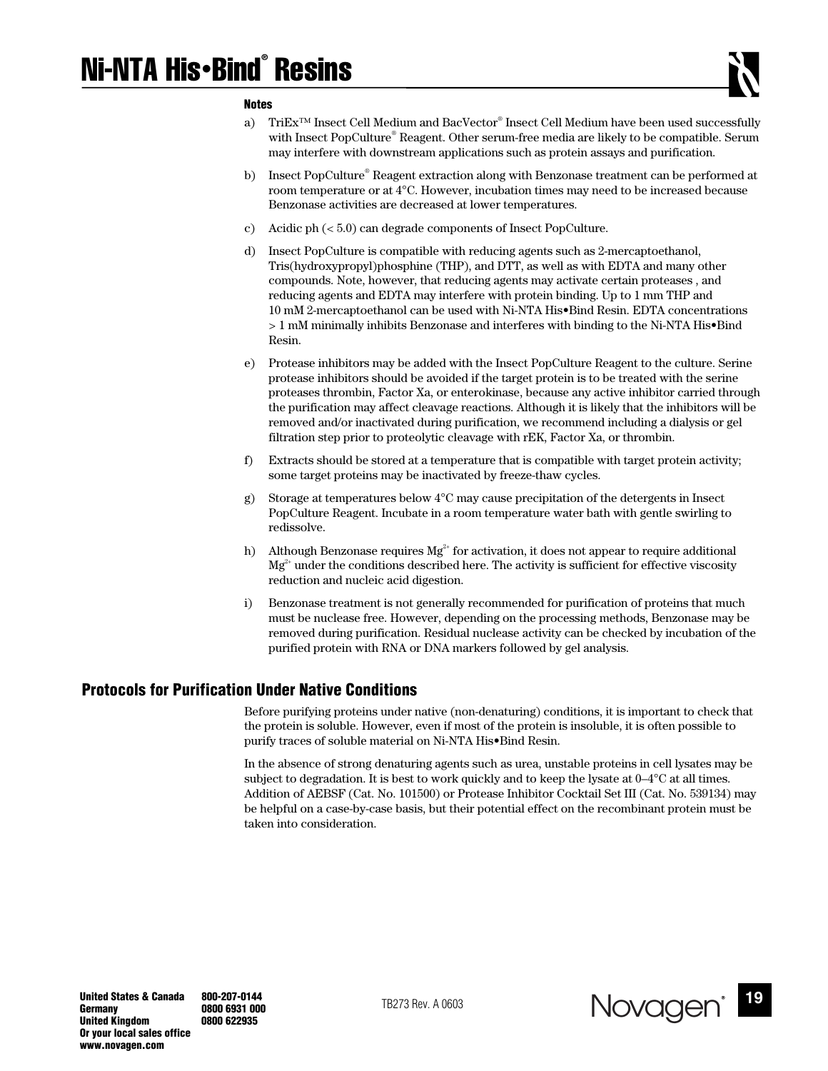# Ni-NTA His•Bind® Resins

#### **Notes**

- a) TriEx<sup>™</sup> Insect Cell Medium and BacVector® Insect Cell Medium have been used successfully with Insect PopCulture® Reagent. Other serum-free media are likely to be compatible. Serum may interfere with downstream applications such as protein assays and purification.
- b) Insect PopCulture® Reagent extraction along with Benzonase treatment can be performed at room temperature or at 4°C. However, incubation times may need to be increased because Benzonase activities are decreased at lower temperatures.
- c) Acidic ph (< 5.0) can degrade components of Insect PopCulture.
- d) Insect PopCulture is compatible with reducing agents such as 2-mercaptoethanol, Tris(hydroxypropyl)phosphine (THP), and DTT, as well as with EDTA and many other compounds. Note, however, that reducing agents may activate certain proteases , and reducing agents and EDTA may interfere with protein binding. Up to 1 mm THP and 10 mM 2-mercaptoethanol can be used with Ni-NTA His•Bind Resin. EDTA concentrations > 1 mM minimally inhibits Benzonase and interferes with binding to the Ni-NTA His•Bind Resin.
- e) Protease inhibitors may be added with the Insect PopCulture Reagent to the culture. Serine protease inhibitors should be avoided if the target protein is to be treated with the serine proteases thrombin, Factor Xa, or enterokinase, because any active inhibitor carried through the purification may affect cleavage reactions. Although it is likely that the inhibitors will be removed and/or inactivated during purification, we recommend including a dialysis or gel filtration step prior to proteolytic cleavage with rEK, Factor Xa, or thrombin.
- f) Extracts should be stored at a temperature that is compatible with target protein activity; some target proteins may be inactivated by freeze-thaw cycles.
- g) Storage at temperatures below 4°C may cause precipitation of the detergents in Insect PopCulture Reagent. Incubate in a room temperature water bath with gentle swirling to redissolve.
- h) Although Benzonase requires  $Mg^{2+}$  for activation, it does not appear to require additional  $Mg^{2+}$  under the conditions described here. The activity is sufficient for effective viscosity reduction and nucleic acid digestion.
- i) Benzonase treatment is not generally recommended for purification of proteins that much must be nuclease free. However, depending on the processing methods, Benzonase may be removed during purification. Residual nuclease activity can be checked by incubation of the purified protein with RNA or DNA markers followed by gel analysis.

# **Protocols for Purification Under Native Conditions**

Before purifying proteins under native (non-denaturing) conditions, it is important to check that the protein is soluble. However, even if most of the protein is insoluble, it is often possible to purify traces of soluble material on Ni-NTA His•Bind Resin.

In the absence of strong denaturing agents such as urea, unstable proteins in cell lysates may be subject to degradation. It is best to work quickly and to keep the lysate at 0–4°C at all times. Addition of AEBSF (Cat. No. 101500) or Protease Inhibitor Cocktail Set III (Cat. No. 539134) may be helpful on a case-by-case basis, but their potential effect on the recombinant protein must be taken into consideration.

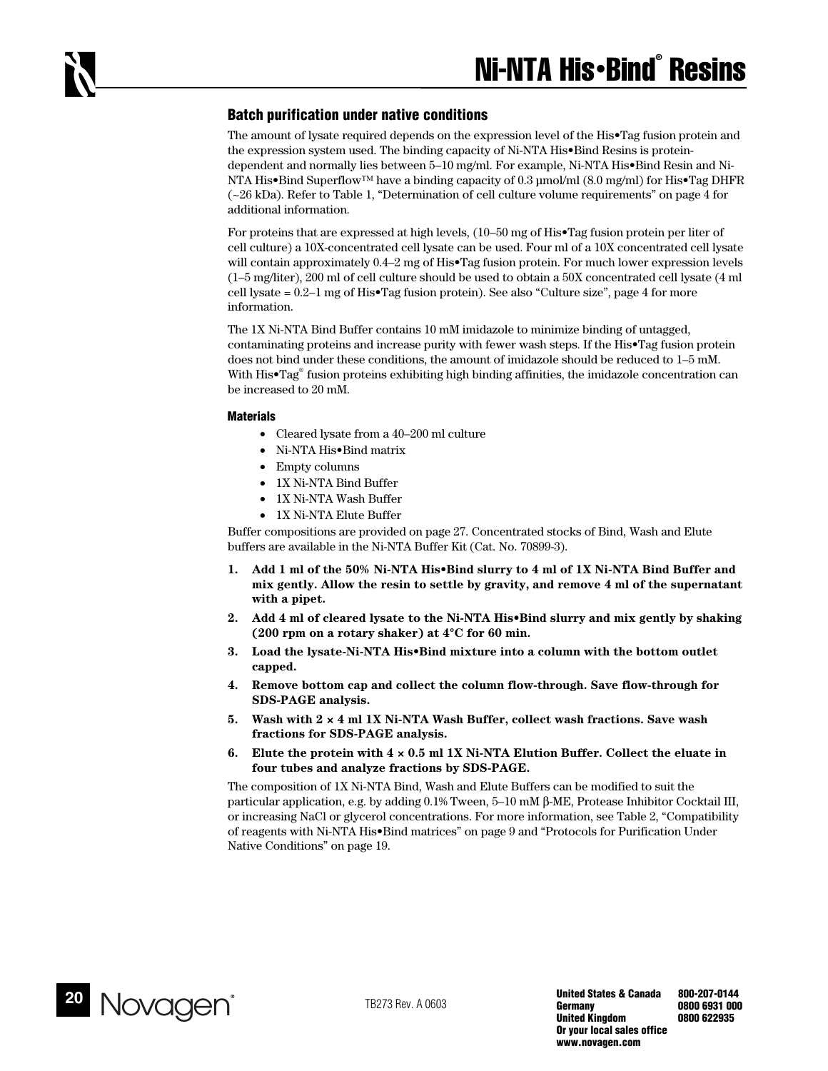## **Batch purification under native conditions**

The amount of lysate required depends on the expression level of the His•Tag fusion protein and the expression system used. The binding capacity of Ni-NTA His•Bind Resins is proteindependent and normally lies between 5–10 mg/ml. For example, Ni-NTA His•Bind Resin and Ni-NTA His•Bind Superflow™ have a binding capacity of 0.3 µmol/ml (8.0 mg/ml) for His•Tag DHFR (~26 kDa). Refer to Table 1, "Determination of cell culture volume requirements" on page 4 for additional information.

For proteins that are expressed at high levels, (10–50 mg of His•Tag fusion protein per liter of cell culture) a 10X-concentrated cell lysate can be used. Four ml of a 10X concentrated cell lysate will contain approximately 0.4–2 mg of His•Tag fusion protein. For much lower expression levels (1–5 mg/liter), 200 ml of cell culture should be used to obtain a 50X concentrated cell lysate (4 ml cell lysate  $= 0.2$ –1 mg of His•Tag fusion protein). See also "Culture size", page 4 for more information.

The 1X Ni-NTA Bind Buffer contains 10 mM imidazole to minimize binding of untagged, contaminating proteins and increase purity with fewer wash steps. If the His•Tag fusion protein does not bind under these conditions, the amount of imidazole should be reduced to 1–5 mM. With His•Tag® fusion proteins exhibiting high binding affinities, the imidazole concentration can be increased to 20 mM.

#### **Materials**

- Cleared lysate from a 40–200 ml culture
- Ni-NTA His•Bind matrix
- Empty columns
- 1X Ni-NTA Bind Buffer
- 1X Ni-NTA Wash Buffer
- 1X Ni-NTA Elute Buffer

Buffer compositions are provided on page 27. Concentrated stocks of Bind, Wash and Elute buffers are available in the Ni-NTA Buffer Kit (Cat. No. 70899-3).

- **1. Add 1 ml of the 50% Ni-NTA His•Bind slurry to 4 ml of 1X Ni-NTA Bind Buffer and mix gently. Allow the resin to settle by gravity, and remove 4 ml of the supernatant with a pipet.**
- **2. Add 4 ml of cleared lysate to the Ni-NTA His•Bind slurry and mix gently by shaking (200 rpm on a rotary shaker) at 4°C for 60 min.**
- **3. Load the lysate-Ni-NTA His•Bind mixture into a column with the bottom outlet capped.**
- **4. Remove bottom cap and collect the column flow-through. Save flow-through for SDS-PAGE analysis.**
- **5. Wash with 2 × 4 ml 1X Ni-NTA Wash Buffer, collect wash fractions. Save wash fractions for SDS-PAGE analysis.**
- **6. Elute the protein with 4 × 0.5 ml 1X Ni-NTA Elution Buffer. Collect the eluate in four tubes and analyze fractions by SDS-PAGE.**

The composition of 1X Ni-NTA Bind, Wash and Elute Buffers can be modified to suit the particular application, e.g. by adding 0.1% Tween, 5–10 mM β-ME, Protease Inhibitor Cocktail III, or increasing NaCl or glycerol concentrations. For more information, see Table 2, "Compatibility of reagents with Ni-NTA His•Bind matrices" on page 9 and "Protocols for Purification Under Native Conditions" on page 19.

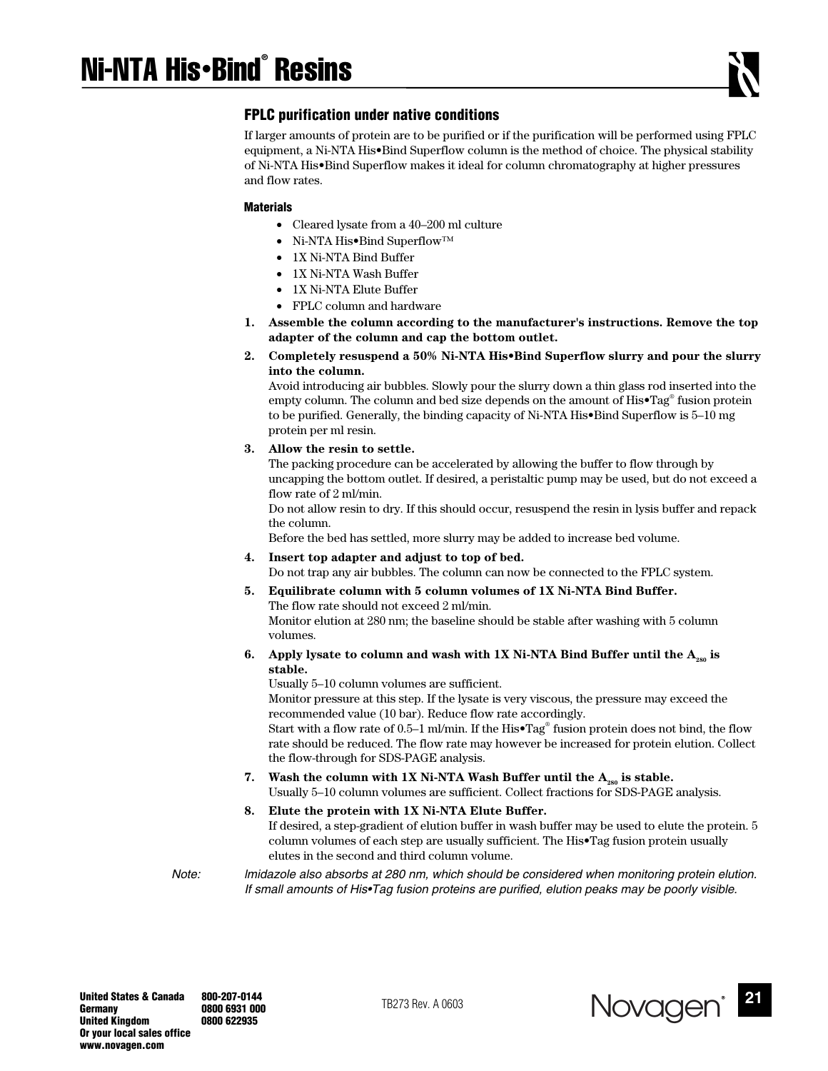## **FPLC purification under native conditions**

If larger amounts of protein are to be purified or if the purification will be performed using FPLC equipment, a Ni-NTA His•Bind Superflow column is the method of choice. The physical stability of Ni-NTA His•Bind Superflow makes it ideal for column chromatography at higher pressures and flow rates.

#### **Materials**

- Cleared lysate from a 40–200 ml culture
- Ni-NTA His•Bind Superflow™
- 1X Ni-NTA Bind Buffer
- 1X Ni-NTA Wash Buffer
- 1X Ni-NTA Elute Buffer
- FPLC column and hardware
- **1. Assemble the column according to the manufacturer's instructions. Remove the top adapter of the column and cap the bottom outlet.**
- **2. Completely resuspend a 50% Ni-NTA His•Bind Superflow slurry and pour the slurry into the column.**

Avoid introducing air bubbles. Slowly pour the slurry down a thin glass rod inserted into the empty column. The column and bed size depends on the amount of His•Tag® fusion protein to be purified. Generally, the binding capacity of Ni-NTA His•Bind Superflow is 5–10 mg protein per ml resin.

#### **3. Allow the resin to settle.**

The packing procedure can be accelerated by allowing the buffer to flow through by uncapping the bottom outlet. If desired, a peristaltic pump may be used, but do not exceed a flow rate of 2 ml/min.

Do not allow resin to dry. If this should occur, resuspend the resin in lysis buffer and repack the column.

Before the bed has settled, more slurry may be added to increase bed volume.

**4. Insert top adapter and adjust to top of bed.**

Do not trap any air bubbles. The column can now be connected to the FPLC system.

**5. Equilibrate column with 5 column volumes of 1X Ni-NTA Bind Buffer.**  The flow rate should not exceed 2 ml/min.

Monitor elution at 280 nm; the baseline should be stable after washing with 5 column volumes.

**6.** Apply lysate to column and wash with 1X Ni-NTA Bind Buffer until the A<sub>280</sub> is **stable.** 

Usually 5–10 column volumes are sufficient.

Monitor pressure at this step. If the lysate is very viscous, the pressure may exceed the recommended value (10 bar). Reduce flow rate accordingly.

Start with a flow rate of 0.5–1 ml/min. If the His•Tag® fusion protein does not bind, the flow rate should be reduced. The flow rate may however be increased for protein elution. Collect the flow-through for SDS-PAGE analysis.

**7.** Wash the column with  $1X$  Ni-NTA Wash Buffer until the  $A_{\text{ss}}$  is stable. Usually 5–10 column volumes are sufficient. Collect fractions for SDS-PAGE analysis.

## **8. Elute the protein with 1X Ni-NTA Elute Buffer.**

If desired, a step-gradient of elution buffer in wash buffer may be used to elute the protein. 5 column volumes of each step are usually sufficient. The His•Tag fusion protein usually elutes in the second and third column volume.

*Note: lmidazole also absorbs at 280 nm, which should be considered when monitoring protein elution. If small amounts of His•Tag fusion proteins are purified, elution peaks may be poorly visible.* 

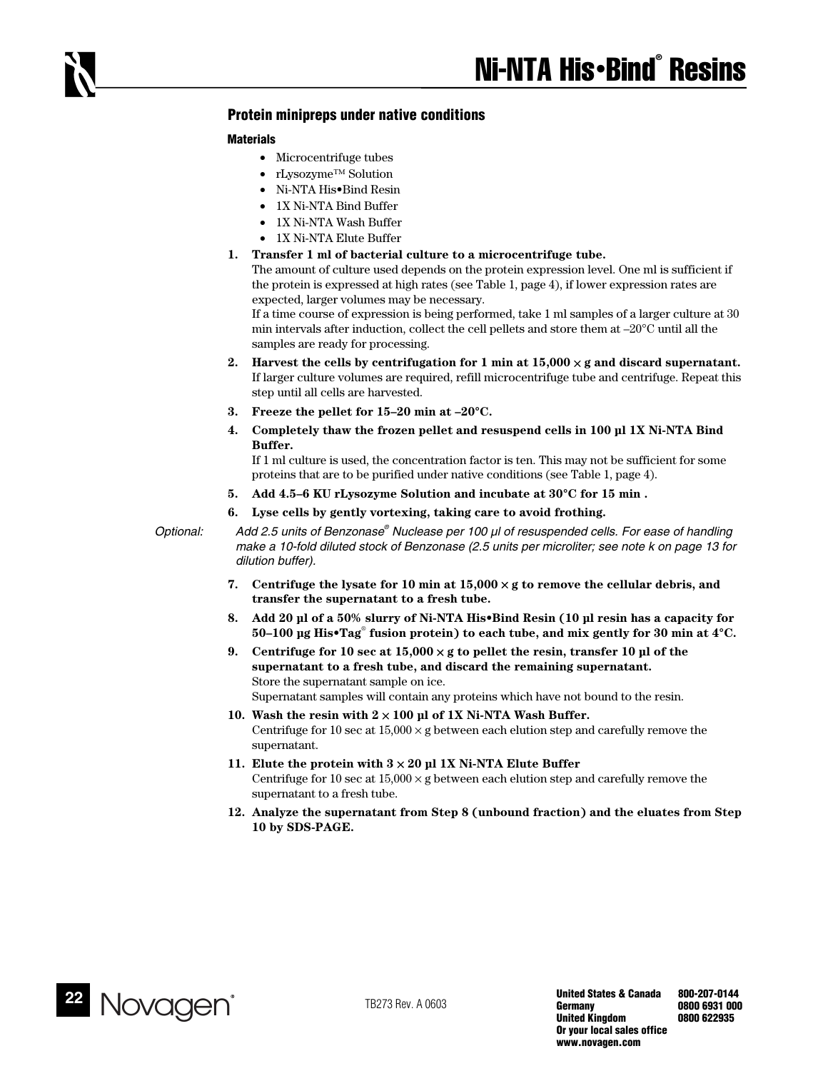## **Protein minipreps under native conditions**

#### **Materials**

- Microcentrifuge tubes
- rLysozyme™ Solution
- Ni-NTA His•Bind Resin
- 1X Ni-NTA Bind Buffer
- 1X Ni-NTA Wash Buffer
- 1X Ni-NTA Elute Buffer
- **1. Transfer 1 ml of bacterial culture to a microcentrifuge tube.**

The amount of culture used depends on the protein expression level. One ml is sufficient if the protein is expressed at high rates (see Table 1, page 4), if lower expression rates are expected, larger volumes may be necessary.

If a time course of expression is being performed, take 1 ml samples of a larger culture at 30 min intervals after induction, collect the cell pellets and store them at  $-20^{\circ}$ C until all the samples are ready for processing.

- 2. Harvest the cells by centrifugation for 1 min at  $15,000 \times g$  and discard supernatant. If larger culture volumes are required, refill microcentrifuge tube and centrifuge. Repeat this step until all cells are harvested.
- **3. Freeze the pellet for 15–20 min at –20°C.**
- **4. Completely thaw the frozen pellet and resuspend cells in 100 µl 1X Ni-NTA Bind Buffer.**

If 1 ml culture is used, the concentration factor is ten. This may not be sufficient for some proteins that are to be purified under native conditions (see Table 1, page 4).

- **5. Add 4.5–6 KU rLysozyme Solution and incubate at 30°C for 15 min .**
- **6. Lyse cells by gently vortexing, taking care to avoid frothing.**

*Optional: Add 2.5 units of Benzonase® Nuclease per 100 µl of resuspended cells. For ease of handling make a 10-fold diluted stock of Benzonase (2.5 units per microliter; see note k on page 13 for dilution buffer).* 

- **7. Centrifuge the lysate for 10 min at 15,000** × **g to remove the cellular debris, and transfer the supernatant to a fresh tube.**
- **8. Add 20 µl of a 50% slurry of Ni-NTA His•Bind Resin (10 µl resin has a capacity for 50–100 µg His•Tag**®  **fusion protein) to each tube, and mix gently for 30 min at 4°C.**
- **9. Centrifuge for 10 sec at 15,000** × **g to pellet the resin, transfer 10 µl of the supernatant to a fresh tube, and discard the remaining supernatant.**  Store the supernatant sample on ice. Supernatant samples will contain any proteins which have not bound to the resin.
- **10. Wash the resin with 2** × **100 µl of 1X Ni-NTA Wash Buffer.**  Centrifuge for 10 sec at  $15,000 \times g$  between each elution step and carefully remove the supernatant.
- **11. Elute the protein with 3** × **20 µl 1X Ni-NTA Elute Buffer**  Centrifuge for 10 sec at  $15,000 \times g$  between each elution step and carefully remove the supernatant to a fresh tube.
- **12. Analyze the supernatant from Step 8 (unbound fraction) and the eluates from Step 10 by SDS-PAGE.**

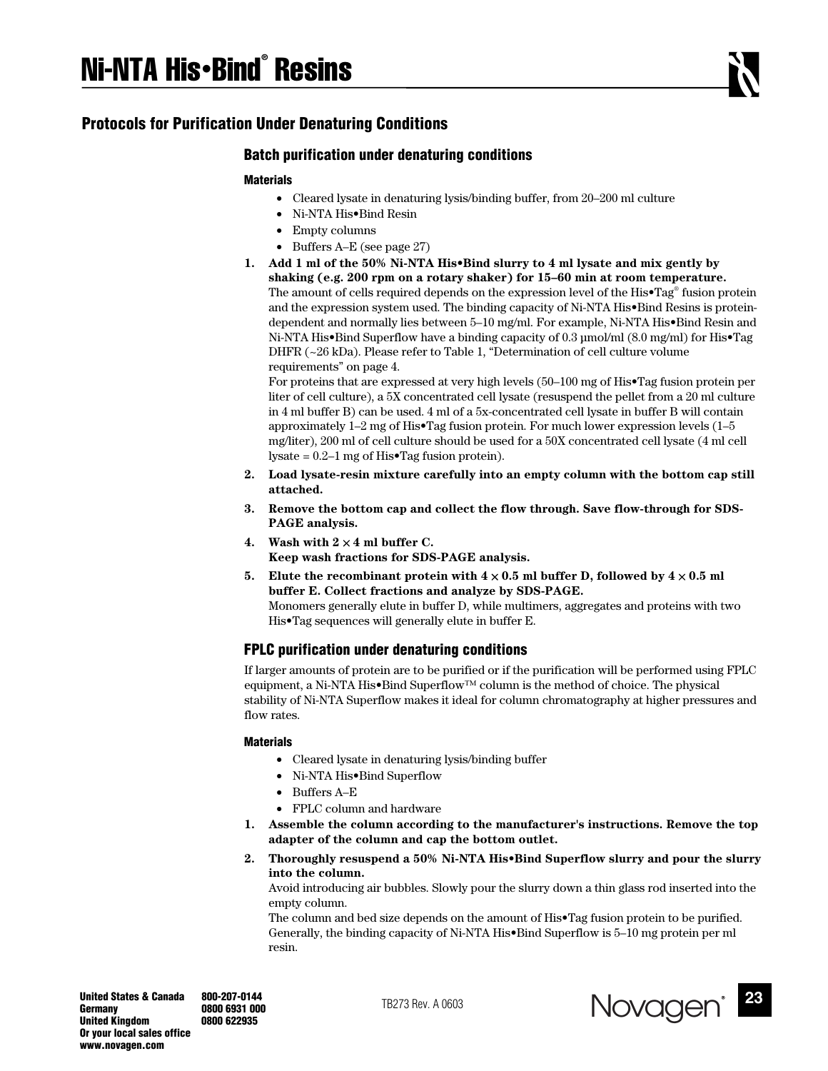# **Protocols for Purification Under Denaturing Conditions**

## **Batch purification under denaturing conditions**

## **Materials**

- Cleared lysate in denaturing lysis/binding buffer, from 20–200 ml culture
- Ni-NTA His•Bind Resin
- Empty columns
- Buffers A–E (see page 27)
- **1. Add 1 ml of the 50% Ni-NTA His•Bind slurry to 4 ml lysate and mix gently by shaking (e.g. 200 rpm on a rotary shaker) for 15–60 min at room temperature.**  The amount of cells required depends on the expression level of the His•Tag® fusion protein and the expression system used. The binding capacity of Ni-NTA His•Bind Resins is proteindependent and normally lies between 5–10 mg/ml. For example, Ni-NTA His•Bind Resin and Ni-NTA His•Bind Superflow have a binding capacity of 0.3 µmol/ml (8.0 mg/ml) for His•Tag DHFR (~26 kDa). Please refer to Table 1, "Determination of cell culture volume requirements" on page 4.

For proteins that are expressed at very high levels (50–100 mg of His•Tag fusion protein per liter of cell culture), a 5X concentrated cell lysate (resuspend the pellet from a 20 ml culture in 4 ml buffer B) can be used. 4 ml of a 5x-concentrated cell lysate in buffer B will contain approximately 1–2 mg of His•Tag fusion protein. For much lower expression levels (1–5 mg/liter), 200 ml of cell culture should be used for a 50X concentrated cell lysate (4 ml cell lysate =  $0.2-1$  mg of His•Tag fusion protein).

- **2. Load lysate-resin mixture carefully into an empty column with the bottom cap still attached.**
- **3. Remove the bottom cap and collect the flow through. Save flow-through for SDS-PAGE analysis.**
- **4. Wash with 2** × **4 ml buffer C. Keep wash fractions for SDS-PAGE analysis.**
- **5.** Elute the recombinant protein with  $4 \times 0.5$  ml buffer D, followed by  $4 \times 0.5$  ml **buffer E. Collect fractions and analyze by SDS-PAGE.**  Monomers generally elute in buffer D, while multimers, aggregates and proteins with two His•Tag sequences will generally elute in buffer E.

## **FPLC purification under denaturing conditions**

If larger amounts of protein are to be purified or if the purification will be performed using FPLC equipment, a Ni-NTA His•Bind Superflow™ column is the method of choice. The physical stability of Ni-NTA Superflow makes it ideal for column chromatography at higher pressures and flow rates.

#### **Materials**

- Cleared lysate in denaturing lysis/binding buffer
- Ni-NTA His•Bind Superflow
- Buffers A–E
- FPLC column and hardware
- **1. Assemble the column according to the manufacturer's instructions. Remove the top adapter of the column and cap the bottom outlet.**
- **2. Thoroughly resuspend a 50% Ni-NTA His•Bind Superflow slurry and pour the slurry into the column.**

Avoid introducing air bubbles. Slowly pour the slurry down a thin glass rod inserted into the empty column.

The column and bed size depends on the amount of His•Tag fusion protein to be purified. Generally, the binding capacity of Ni-NTA His•Bind Superflow is 5–10 mg protein per ml resin.



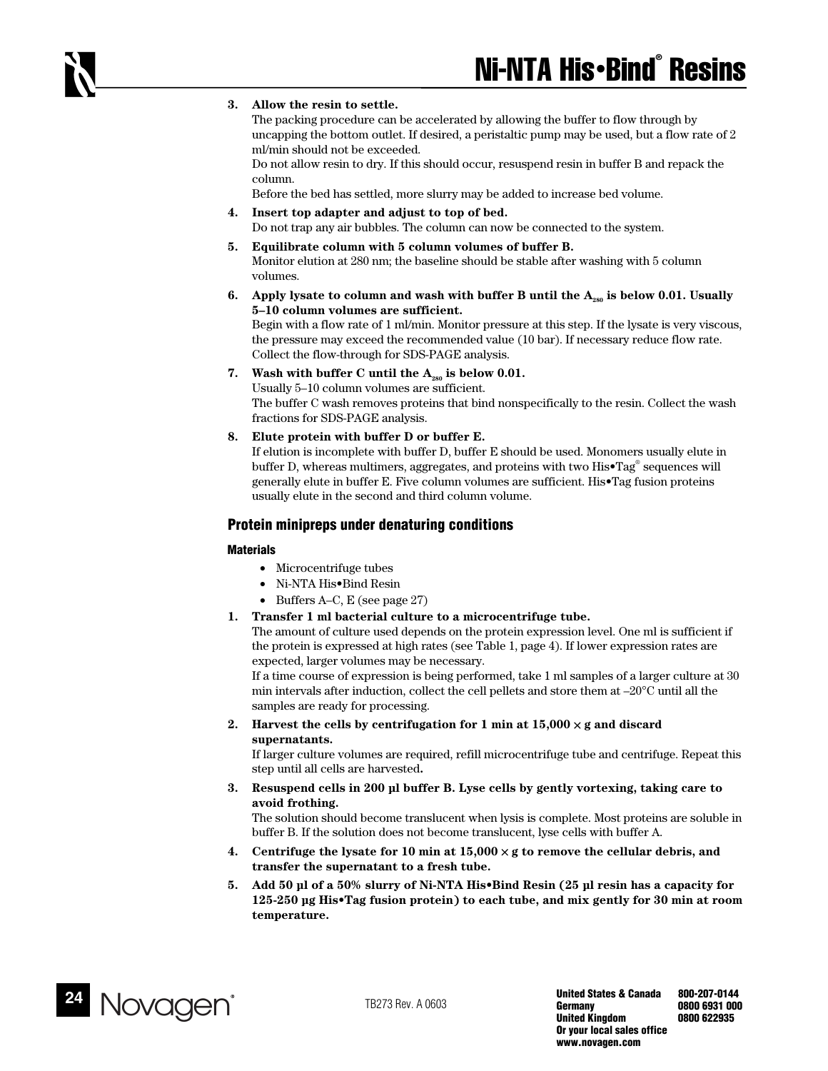#### **3. Allow the resin to settle.**

The packing procedure can be accelerated by allowing the buffer to flow through by uncapping the bottom outlet. If desired, a peristaltic pump may be used, but a flow rate of 2 ml/min should not be exceeded.

Do not allow resin to dry. If this should occur, resuspend resin in buffer B and repack the column.

Before the bed has settled, more slurry may be added to increase bed volume.

- **4. Insert top adapter and adjust to top of bed.**  Do not trap any air bubbles. The column can now be connected to the system.
- **5. Equilibrate column with 5 column volumes of buffer B.**  Monitor elution at 280 nm; the baseline should be stable after washing with 5 column volumes.
- **6.** Apply lysate to column and wash with buffer B until the A<sub>nga</sub> is below 0.01. Usually **5–10 column volumes are sufficient.**

Begin with a flow rate of 1 ml/min. Monitor pressure at this step. If the lysate is very viscous, the pressure may exceed the recommended value (10 bar). If necessary reduce flow rate. Collect the flow-through for SDS-PAGE analysis.

7. Wash with buffer C until the  $A_{280}$  is below 0.01.

Usually 5–10 column volumes are sufficient. The buffer C wash removes proteins that bind nonspecifically to the resin. Collect the wash fractions for SDS-PAGE analysis.

**8. Elute protein with buffer D or buffer E.** 

If elution is incomplete with buffer D, buffer E should be used. Monomers usually elute in buffer D, whereas multimers, aggregates, and proteins with two His•Tag® sequences will generally elute in buffer E. Five column volumes are sufficient. His•Tag fusion proteins usually elute in the second and third column volume.

## **Protein minipreps under denaturing conditions**

#### **Materials**

- Microcentrifuge tubes
- Ni-NTA His•Bind Resin
- Buffers A–C, E (see page 27)
- **1. Transfer 1 ml bacterial culture to a microcentrifuge tube.**

The amount of culture used depends on the protein expression level. One ml is sufficient if the protein is expressed at high rates (see Table 1, page 4). If lower expression rates are expected, larger volumes may be necessary.

If a time course of expression is being performed, take 1 ml samples of a larger culture at 30 min intervals after induction, collect the cell pellets and store them at  $-20^{\circ}$ C until all the samples are ready for processing.

**2.** Harvest the cells by centrifugation for 1 min at  $15,000 \times$ **g** and discard **supernatants.** 

If larger culture volumes are required, refill microcentrifuge tube and centrifuge. Repeat this step until all cells are harvested**.** 

**3. Resuspend cells in 200 µl buffer B. Lyse cells by gently vortexing, taking care to avoid frothing.** 

The solution should become translucent when lysis is complete. Most proteins are soluble in buffer B. If the solution does not become translucent, lyse cells with buffer A.

- **4. Centrifuge the lysate for 10 min at 15,000** × **g to remove the cellular debris, and transfer the supernatant to a fresh tube.**
- **5. Add 50 µl of a 50% slurry of Ni-NTA His•Bind Resin (25 µl resin has a capacity for 125-250 µg His•Tag fusion protein) to each tube, and mix gently for 30 min at room temperature.**

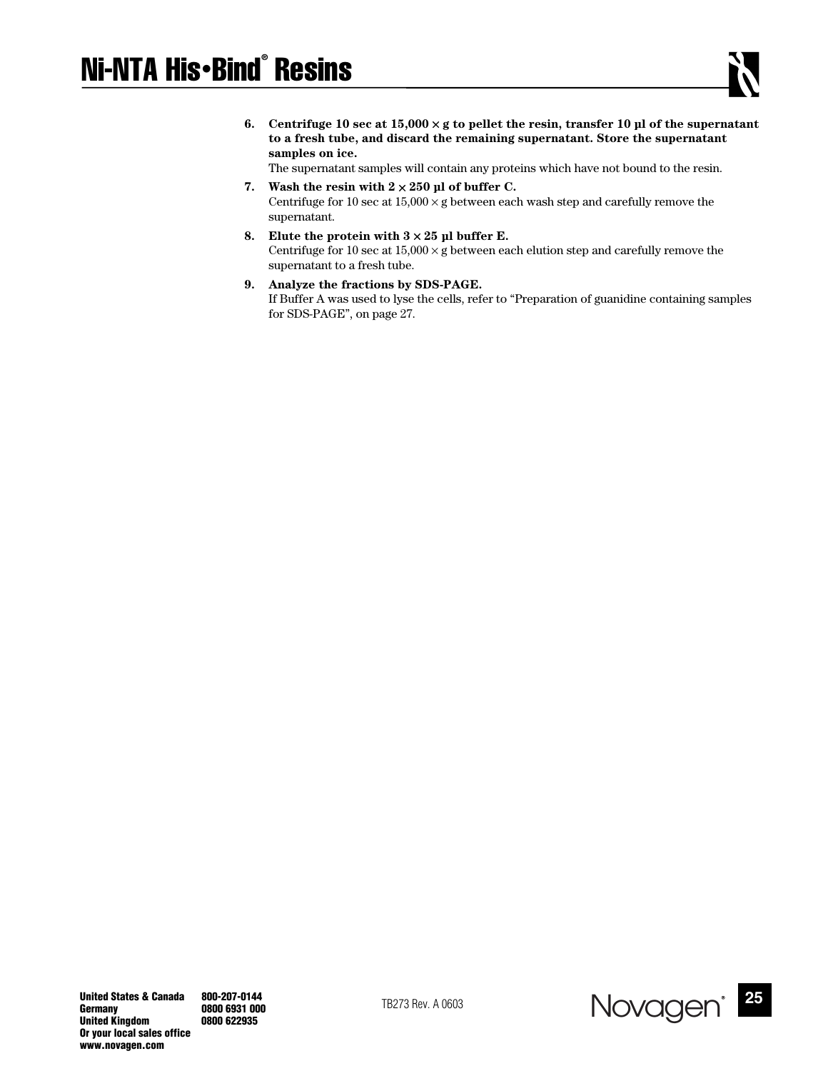**6.** Centrifuge 10 sec at  $15,000 \times g$  to pellet the resin, transfer 10 µl of the supernatant **to a fresh tube, and discard the remaining supernatant. Store the supernatant samples on ice.** 

The supernatant samples will contain any proteins which have not bound to the resin.

- 7. Wash the resin with  $2 \times 250$  µl of buffer C. Centrifuge for 10 sec at  $15,000 \times g$  between each wash step and carefully remove the supernatant.
- 8. Elute the protein with  $3 \times 25$  µl buffer E. Centrifuge for 10 sec at  $15,000 \times g$  between each elution step and carefully remove the supernatant to a fresh tube.
- **9. Analyze the fractions by SDS-PAGE.**

If Buffer A was used to lyse the cells, refer to "Preparation of guanidine containing samples for SDS-PAGE", on page 27.

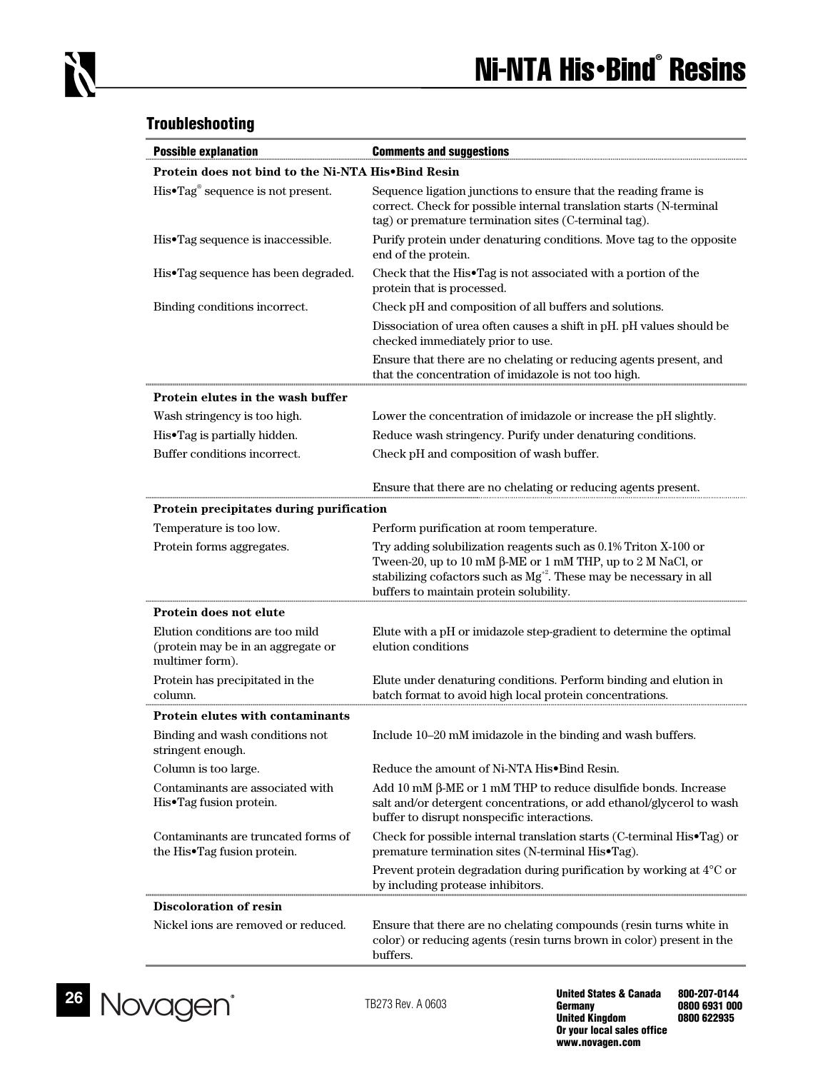# **Troubleshooting**

| <b>Possible explanation</b>                                                              | <b>Comments and suggestions</b>                                                                                                                                                                                                                            |  |  |  |
|------------------------------------------------------------------------------------------|------------------------------------------------------------------------------------------------------------------------------------------------------------------------------------------------------------------------------------------------------------|--|--|--|
| Protein does not bind to the Ni-NTA His•Bind Resin                                       |                                                                                                                                                                                                                                                            |  |  |  |
| His•Tag® sequence is not present.                                                        | Sequence ligation junctions to ensure that the reading frame is<br>correct. Check for possible internal translation starts (N-terminal<br>tag) or premature termination sites (C-terminal tag).                                                            |  |  |  |
| His•Tag sequence is inaccessible.                                                        | Purify protein under denaturing conditions. Move tag to the opposite<br>end of the protein.                                                                                                                                                                |  |  |  |
| His•Tag sequence has been degraded.                                                      | Check that the His•Tag is not associated with a portion of the<br>protein that is processed.                                                                                                                                                               |  |  |  |
| Binding conditions incorrect.                                                            | Check pH and composition of all buffers and solutions.                                                                                                                                                                                                     |  |  |  |
|                                                                                          | Dissociation of urea often causes a shift in pH. pH values should be<br>checked immediately prior to use.                                                                                                                                                  |  |  |  |
|                                                                                          | Ensure that there are no chelating or reducing agents present, and<br>that the concentration of imidazole is not too high.                                                                                                                                 |  |  |  |
| Protein elutes in the wash buffer                                                        |                                                                                                                                                                                                                                                            |  |  |  |
| Wash stringency is too high.                                                             | Lower the concentration of imidazole or increase the pH slightly.                                                                                                                                                                                          |  |  |  |
| His•Tag is partially hidden.                                                             | Reduce wash stringency. Purify under denaturing conditions.                                                                                                                                                                                                |  |  |  |
| Buffer conditions incorrect.                                                             | Check pH and composition of wash buffer.                                                                                                                                                                                                                   |  |  |  |
|                                                                                          | Ensure that there are no chelating or reducing agents present.                                                                                                                                                                                             |  |  |  |
| Protein precipitates during purification                                                 |                                                                                                                                                                                                                                                            |  |  |  |
| Temperature is too low.                                                                  | Perform purification at room temperature.                                                                                                                                                                                                                  |  |  |  |
| Protein forms aggregates.                                                                | Try adding solubilization reagents such as 0.1% Triton X-100 or<br>Tween-20, up to 10 mM β-ME or 1 mM THP, up to 2 M NaCl, or<br>stabilizing cofactors such as Mg <sup>+2</sup> . These may be necessary in all<br>buffers to maintain protein solubility. |  |  |  |
| Protein does not elute                                                                   |                                                                                                                                                                                                                                                            |  |  |  |
| Elution conditions are too mild<br>(protein may be in an aggregate or<br>multimer form). | Elute with a pH or imidazole step-gradient to determine the optimal<br>elution conditions                                                                                                                                                                  |  |  |  |
| Protein has precipitated in the<br>column.                                               | Elute under denaturing conditions. Perform binding and elution in<br>batch format to avoid high local protein concentrations.                                                                                                                              |  |  |  |
| Protein elutes with contaminants                                                         |                                                                                                                                                                                                                                                            |  |  |  |
| Binding and wash conditions not<br>stringent enough.                                     | Include 10-20 mM imidazole in the binding and wash buffers.                                                                                                                                                                                                |  |  |  |
| Column is too large.                                                                     | Reduce the amount of Ni-NTA His•Bind Resin.                                                                                                                                                                                                                |  |  |  |
| Contaminants are associated with<br>His•Tag fusion protein.                              | Add 10 mM β-ME or 1 mM THP to reduce disulfide bonds. Increase<br>salt and/or detergent concentrations, or add ethanol/glycerol to wash<br>buffer to disrupt nonspecific interactions.                                                                     |  |  |  |
| Contaminants are truncated forms of<br>the His•Tag fusion protein.                       | Check for possible internal translation starts (C-terminal His•Tag) or<br>premature termination sites (N-terminal His•Tag).                                                                                                                                |  |  |  |
|                                                                                          | Prevent protein degradation during purification by working at 4°C or<br>by including protease inhibitors.                                                                                                                                                  |  |  |  |
| <b>Discoloration of resin</b>                                                            |                                                                                                                                                                                                                                                            |  |  |  |
| Nickel ions are removed or reduced.                                                      | Ensure that there are no chelating compounds (resin turns white in<br>color) or reducing agents (resin turns brown in color) present in the<br>buffers.                                                                                                    |  |  |  |

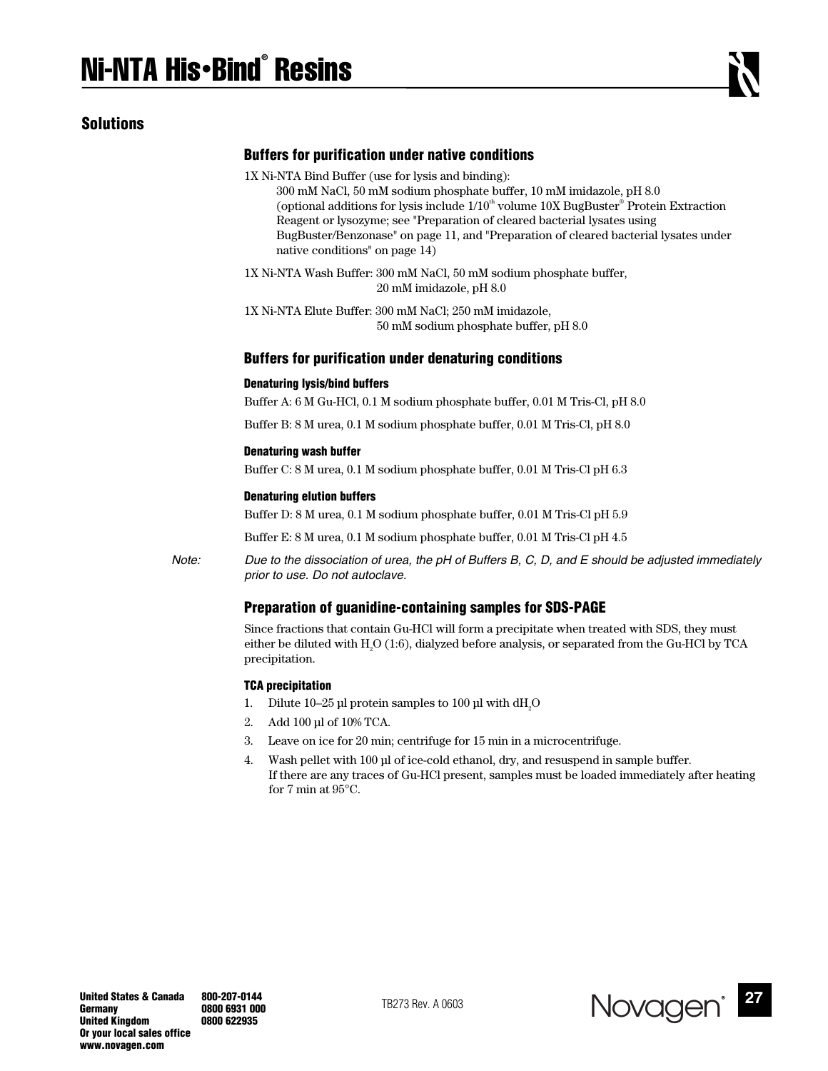## **Solutions**

## **Buffers for purification under native conditions**

1X Ni-NTA Bind Buffer (use for lysis and binding):

 300 mM NaCl, 50 mM sodium phosphate buffer, 10 mM imidazole, pH 8.0 (optional additions for lysis include  $1/10<sup>th</sup>$  volume  $10X$  BugBuster $<sup>®</sup>$  Protein Extraction</sup> Reagent or lysozyme; see "Preparation of cleared bacterial lysates using BugBuster/Benzonase" on page 11, and "Preparation of cleared bacterial lysates under native conditions" on page 14)

1X Ni-NTA Wash Buffer: 300 mM NaCl, 50 mM sodium phosphate buffer, 20 mM imidazole, pH 8.0

1X Ni-NTA Elute Buffer: 300 mM NaCl; 250 mM imidazole, 50 mM sodium phosphate buffer, pH 8.0

#### **Buffers for purification under denaturing conditions**

#### **Denaturing lysis/bind buffers**

Buffer A: 6 M Gu-HCl, 0.1 M sodium phosphate buffer, 0.01 M Tris-Cl, pH 8.0

Buffer B: 8 M urea, 0.1 M sodium phosphate buffer, 0.01 M Tris-Cl, pH 8.0

#### **Denaturing wash buffer**

Buffer C: 8 M urea, 0.1 M sodium phosphate buffer, 0.01 M Tris-Cl pH 6.3

#### **Denaturing elution buffers**

Buffer D: 8 M urea, 0.1 M sodium phosphate buffer, 0.01 M Tris-Cl pH 5.9

Buffer E: 8 M urea, 0.1 M sodium phosphate buffer, 0.01 M Tris-Cl pH 4.5

*Note: Due to the dissociation of urea, the pH of Buffers B, C, D, and E should be adjusted immediately prior to use. Do not autoclave.* 

## **Preparation of guanidine-containing samples for SDS-PAGE**

Since fractions that contain Gu-HCl will form a precipitate when treated with SDS, they must either be diluted with  $\rm H_2O$  (1:6), dialyzed before analysis, or separated from the Gu-HCl by TCA precipitation.

#### **TCA precipitation**

- 1. Dilute 10–25 µl protein samples to 100 µl with  $dH_2O$
- 2. Add 100 µl of 10% TCA.
- 3. Leave on ice for 20 min; centrifuge for 15 min in a microcentrifuge.
- 4. Wash pellet with 100 µl of ice-cold ethanol, dry, and resuspend in sample buffer. If there are any traces of Gu-HCl present, samples must be loaded immediately after heating for 7 min at 95°C.

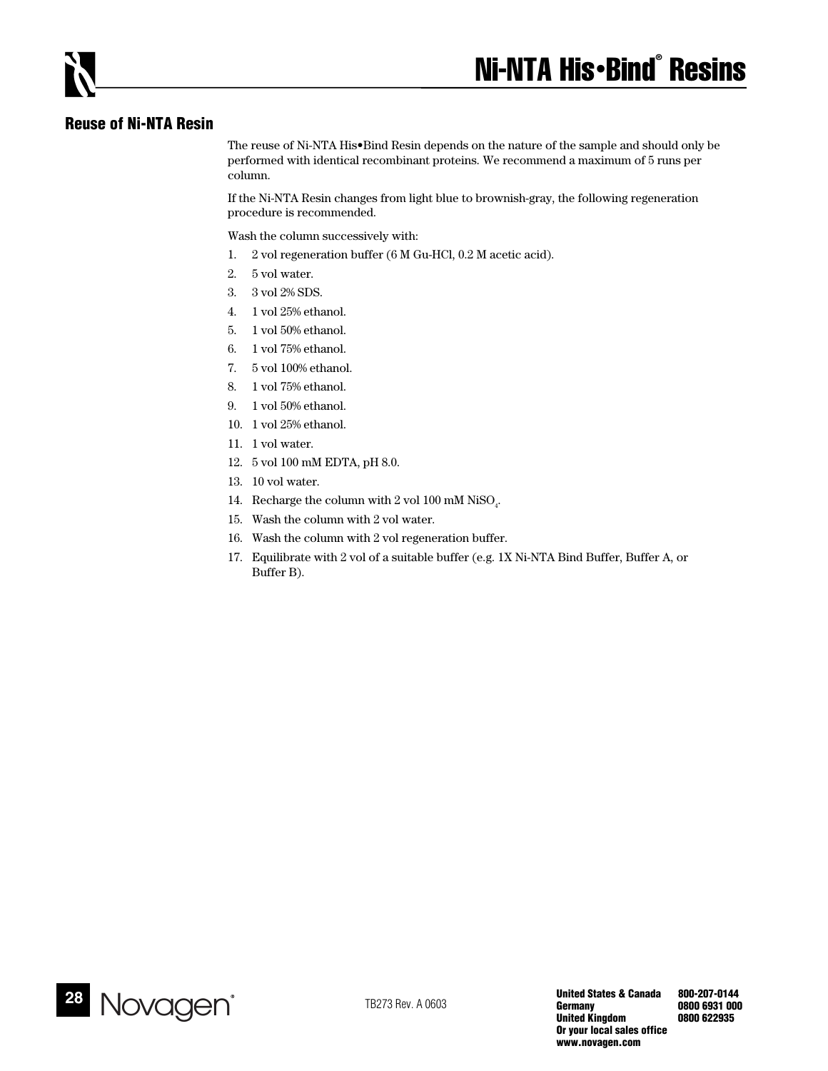# **Reuse of Ni-NTA Resin**

The reuse of Ni-NTA His•Bind Resin depends on the nature of the sample and should only be performed with identical recombinant proteins. We recommend a maximum of 5 runs per column.

If the Ni-NTA Resin changes from light blue to brownish-gray, the following regeneration procedure is recommended.

Wash the column successively with:

- 1. 2 vol regeneration buffer (6 M Gu-HCl, 0.2 M acetic acid).
- 2. 5 vol water.
- 3. 3 vol 2% SDS.
- 4. 1 vol 25% ethanol.
- 5. 1 vol 50% ethanol.
- 6. 1 vol 75% ethanol.
- 7. 5 vol 100% ethanol.
- 8. 1 vol 75% ethanol.
- 9. 1 vol 50% ethanol.
- 10. 1 vol 25% ethanol.
- 11. 1 vol water.
- 12. 5 vol 100 mM EDTA, pH 8.0.
- 13. 10 vol water.
- 14. Recharge the column with 2 vol 100 mM NiSO<sub>4</sub>.
- 15. Wash the column with 2 vol water.
- 16. Wash the column with 2 vol regeneration buffer.
- 17. Equilibrate with 2 vol of a suitable buffer (e.g. 1X Ni-NTA Bind Buffer, Buffer A, or Buffer B).

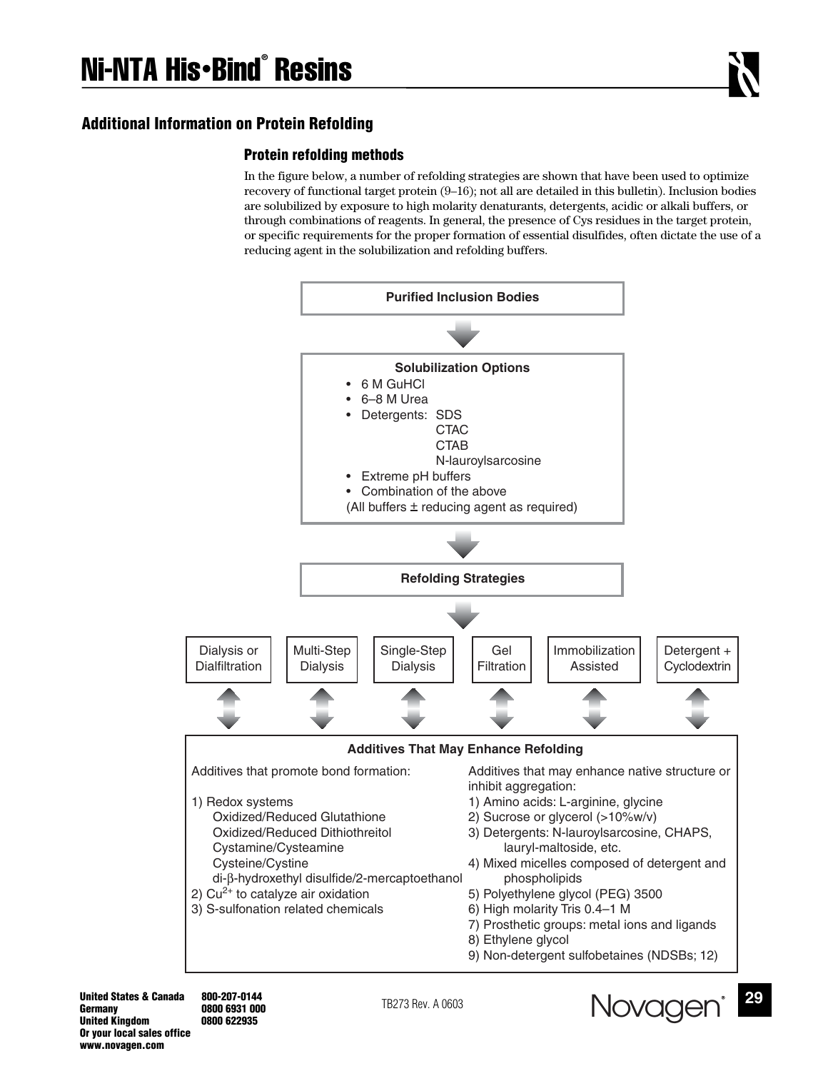# **Additional Information on Protein Refolding**

## **Protein refolding methods**

In the figure below, a number of refolding strategies are shown that have been used to optimize recovery of functional target protein (9–16); not all are detailed in this bulletin). Inclusion bodies are solubilized by exposure to high molarity denaturants, detergents, acidic or alkali buffers, or through combinations of reagents. In general, the presence of Cys residues in the target protein, or specific requirements for the proper formation of essential disulfides, often dictate the use of a reducing agent in the solubilization and refolding buffers.



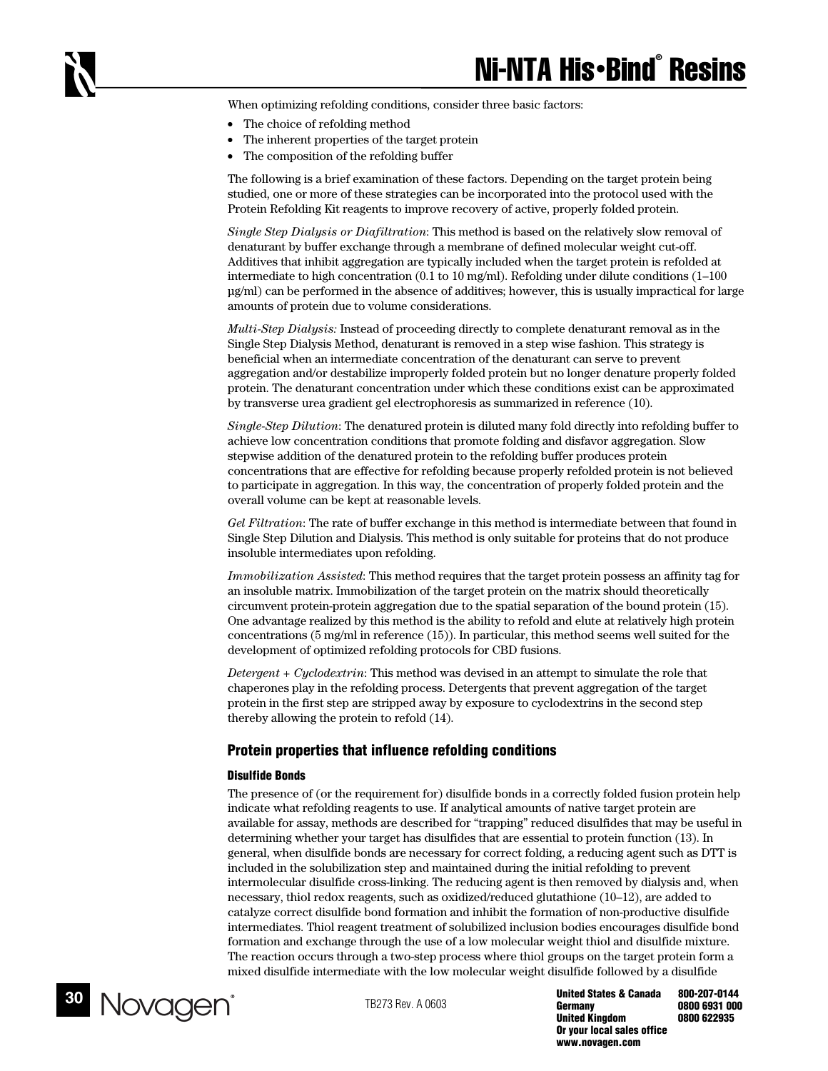When optimizing refolding conditions, consider three basic factors:

- The choice of refolding method
- The inherent properties of the target protein
- The composition of the refolding buffer

The following is a brief examination of these factors. Depending on the target protein being studied, one or more of these strategies can be incorporated into the protocol used with the Protein Refolding Kit reagents to improve recovery of active, properly folded protein.

*Single Step Dialysis or Diafiltration*: This method is based on the relatively slow removal of denaturant by buffer exchange through a membrane of defined molecular weight cut-off. Additives that inhibit aggregation are typically included when the target protein is refolded at intermediate to high concentration (0.1 to 10 mg/ml). Refolding under dilute conditions (1–100 µg/ml) can be performed in the absence of additives; however, this is usually impractical for large amounts of protein due to volume considerations.

*Multi-Step Dialysis:* Instead of proceeding directly to complete denaturant removal as in the Single Step Dialysis Method, denaturant is removed in a step wise fashion. This strategy is beneficial when an intermediate concentration of the denaturant can serve to prevent aggregation and/or destabilize improperly folded protein but no longer denature properly folded protein. The denaturant concentration under which these conditions exist can be approximated by transverse urea gradient gel electrophoresis as summarized in reference (10).

*Single-Step Dilution*: The denatured protein is diluted many fold directly into refolding buffer to achieve low concentration conditions that promote folding and disfavor aggregation. Slow stepwise addition of the denatured protein to the refolding buffer produces protein concentrations that are effective for refolding because properly refolded protein is not believed to participate in aggregation. In this way, the concentration of properly folded protein and the overall volume can be kept at reasonable levels.

*Gel Filtration*: The rate of buffer exchange in this method is intermediate between that found in Single Step Dilution and Dialysis. This method is only suitable for proteins that do not produce insoluble intermediates upon refolding.

*Immobilization Assisted*: This method requires that the target protein possess an affinity tag for an insoluble matrix. Immobilization of the target protein on the matrix should theoretically circumvent protein-protein aggregation due to the spatial separation of the bound protein (15). One advantage realized by this method is the ability to refold and elute at relatively high protein concentrations (5 mg/ml in reference (15)). In particular, this method seems well suited for the development of optimized refolding protocols for CBD fusions.

*Detergent + Cyclodextrin*: This method was devised in an attempt to simulate the role that chaperones play in the refolding process. Detergents that prevent aggregation of the target protein in the first step are stripped away by exposure to cyclodextrins in the second step thereby allowing the protein to refold (14).

### **Protein properties that influence refolding conditions**

#### **Disulfide Bonds**

The presence of (or the requirement for) disulfide bonds in a correctly folded fusion protein help indicate what refolding reagents to use. If analytical amounts of native target protein are available for assay, methods are described for "trapping" reduced disulfides that may be useful in determining whether your target has disulfides that are essential to protein function (13). In general, when disulfide bonds are necessary for correct folding, a reducing agent such as DTT is included in the solubilization step and maintained during the initial refolding to prevent intermolecular disulfide cross-linking. The reducing agent is then removed by dialysis and, when necessary, thiol redox reagents, such as oxidized/reduced glutathione (10–12), are added to catalyze correct disulfide bond formation and inhibit the formation of non-productive disulfide intermediates. Thiol reagent treatment of solubilized inclusion bodies encourages disulfide bond formation and exchange through the use of a low molecular weight thiol and disulfide mixture. The reaction occurs through a two-step process where thiol groups on the target protein form a mixed disulfide intermediate with the low molecular weight disulfide followed by a disulfide



**United States & Canada 800-207-0144 Germany 0800 6931 000 United Kingdom Or your local sales office www.novagen.com**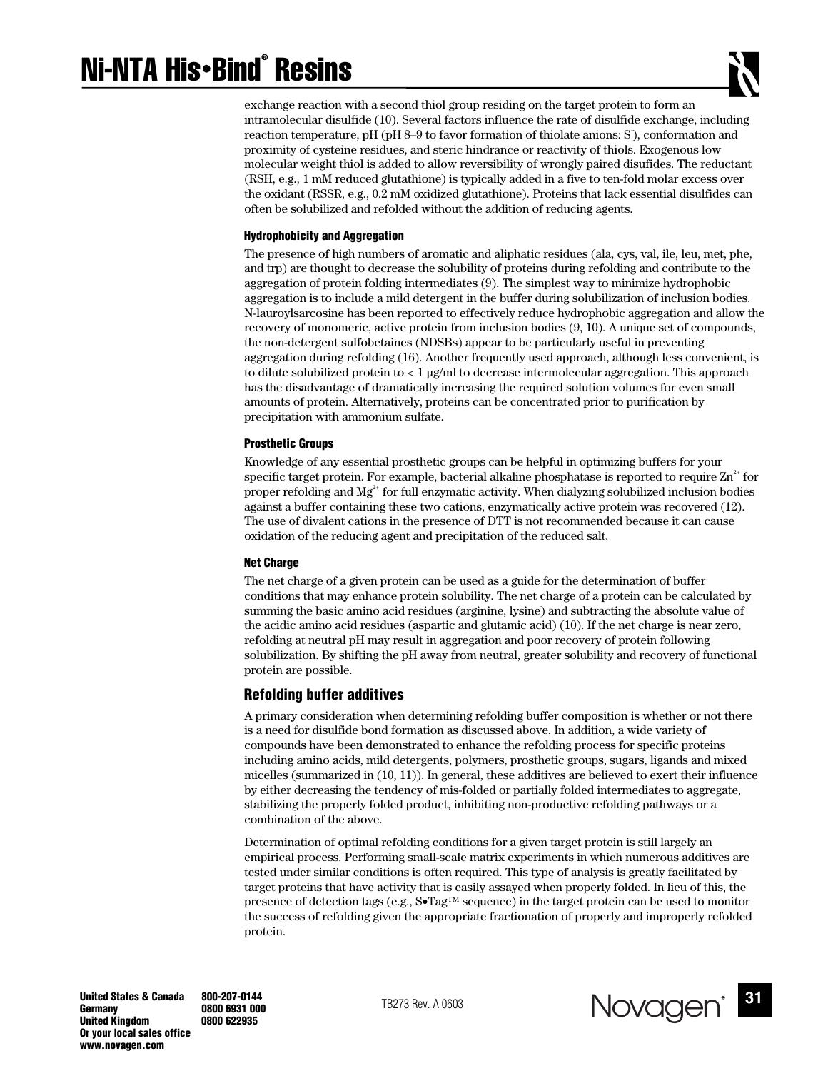# Ni-NTA His•Bind® Resins



exchange reaction with a second thiol group residing on the target protein to form an intramolecular disulfide (10). Several factors influence the rate of disulfide exchange, including reaction temperature, pH (pH 8-9 to favor formation of thiolate anions: S), conformation and proximity of cysteine residues, and steric hindrance or reactivity of thiols. Exogenous low molecular weight thiol is added to allow reversibility of wrongly paired disufides. The reductant (RSH, e.g., 1 mM reduced glutathione) is typically added in a five to ten-fold molar excess over the oxidant (RSSR, e.g., 0.2 mM oxidized glutathione). Proteins that lack essential disulfides can often be solubilized and refolded without the addition of reducing agents.

#### **Hydrophobicity and Aggregation**

The presence of high numbers of aromatic and aliphatic residues (ala, cys, val, ile, leu, met, phe, and trp) are thought to decrease the solubility of proteins during refolding and contribute to the aggregation of protein folding intermediates (9). The simplest way to minimize hydrophobic aggregation is to include a mild detergent in the buffer during solubilization of inclusion bodies. N-lauroylsarcosine has been reported to effectively reduce hydrophobic aggregation and allow the recovery of monomeric, active protein from inclusion bodies (9, 10). A unique set of compounds, the non-detergent sulfobetaines (NDSBs) appear to be particularly useful in preventing aggregation during refolding (16). Another frequently used approach, although less convenient, is to dilute solubilized protein to < 1 µg/ml to decrease intermolecular aggregation. This approach has the disadvantage of dramatically increasing the required solution volumes for even small amounts of protein. Alternatively, proteins can be concentrated prior to purification by precipitation with ammonium sulfate.

#### **Prosthetic Groups**

Knowledge of any essential prosthetic groups can be helpful in optimizing buffers for your specific target protein. For example, bacterial alkaline phosphatase is reported to require  $\text{Zn}^{2+}$  for proper refolding and  $Mg^{2+}$  for full enzymatic activity. When dialyzing solubilized inclusion bodies against a buffer containing these two cations, enzymatically active protein was recovered (12). The use of divalent cations in the presence of DTT is not recommended because it can cause oxidation of the reducing agent and precipitation of the reduced salt.

#### **Net Charge**

The net charge of a given protein can be used as a guide for the determination of buffer conditions that may enhance protein solubility. The net charge of a protein can be calculated by summing the basic amino acid residues (arginine, lysine) and subtracting the absolute value of the acidic amino acid residues (aspartic and glutamic acid) (10). If the net charge is near zero, refolding at neutral pH may result in aggregation and poor recovery of protein following solubilization. By shifting the pH away from neutral, greater solubility and recovery of functional protein are possible.

## **Refolding buffer additives**

A primary consideration when determining refolding buffer composition is whether or not there is a need for disulfide bond formation as discussed above. In addition, a wide variety of compounds have been demonstrated to enhance the refolding process for specific proteins including amino acids, mild detergents, polymers, prosthetic groups, sugars, ligands and mixed micelles (summarized in (10, 11)). In general, these additives are believed to exert their influence by either decreasing the tendency of mis-folded or partially folded intermediates to aggregate, stabilizing the properly folded product, inhibiting non-productive refolding pathways or a combination of the above.

Determination of optimal refolding conditions for a given target protein is still largely an empirical process. Performing small-scale matrix experiments in which numerous additives are tested under similar conditions is often required. This type of analysis is greatly facilitated by target proteins that have activity that is easily assayed when properly folded. In lieu of this, the presence of detection tags (e.g.,  $S\bullet Tag^{TM}$  sequence) in the target protein can be used to monitor the success of refolding given the appropriate fractionation of properly and improperly refolded protein.